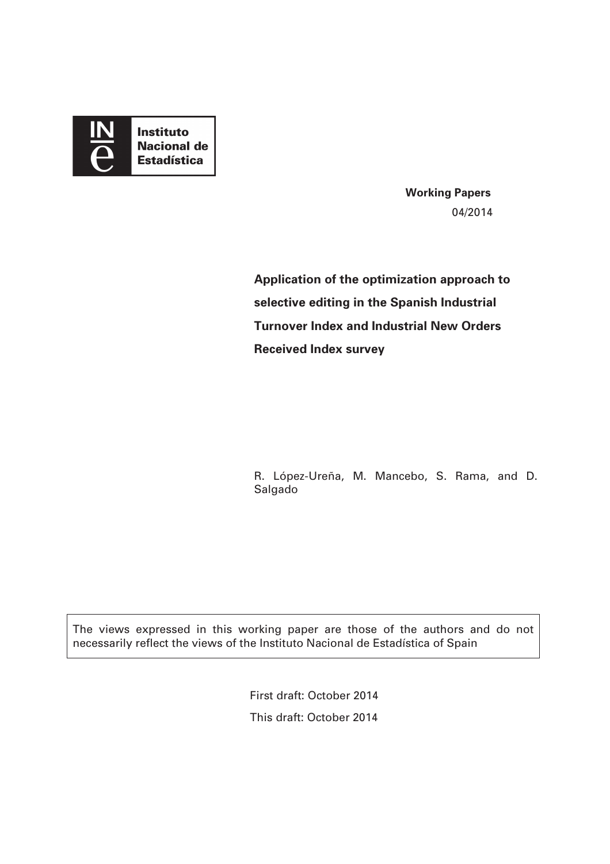

**Working Papers**  04/2014

**Application of the optimization approach to selective editing in the Spanish Industrial Turnover Index and Industrial New Orders Received Index survey** 

R. López-Ureña, M. Mancebo, S. Rama, and D. Salgado

The views expressed in this working paper are those of the authors and do not necessarily reflect the views of the Instituto Nacional de Estadística of Spain

> First draft: October 2014 This draft: October 2014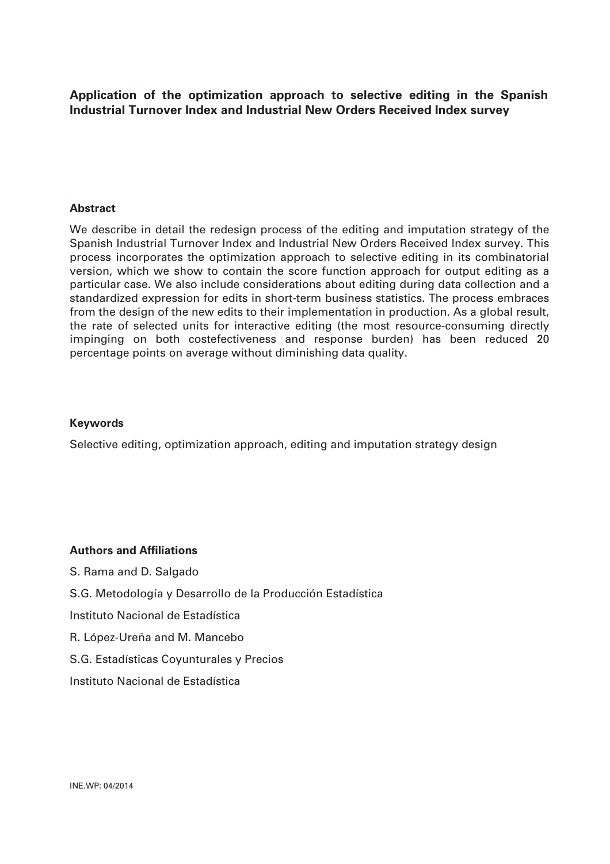**Application of the optimization approach to selective editing in the Spanish Industrial Turnover Index and Industrial New Orders Received Index survey** 

#### **Abstract**

We describe in detail the redesign process of the editing and imputation strategy of the Spanish Industrial Turnover Index and Industrial New Orders Received Index survey. This process incorporates the optimization approach to selective editing in its combinatorial version, which we show to contain the score function approach for output editing as a particular case. We also include considerations about editing during data collection and a standardized expression for edits in short-term business statistics. The process embraces from the design of the new edits to their implementation in production. As a global result, the rate of selected units for interactive editing (the most resource-consuming directly impinging on both costefectiveness and response burden) has been reduced 20 percentage points on average without diminishing data quality.

#### **Keywords**

Selective editing, optimization approach, editing and imputation strategy design

#### **Authors and Affiliations**

S. Rama and D. Salgado S.G. Metodología y Desarrollo de la Producción Estadística Instituto Nacional de Estadística R. López-Ureña and M. Mancebo S.G. Estadísticas Coyunturales y Precios Instituto Nacional de Estadística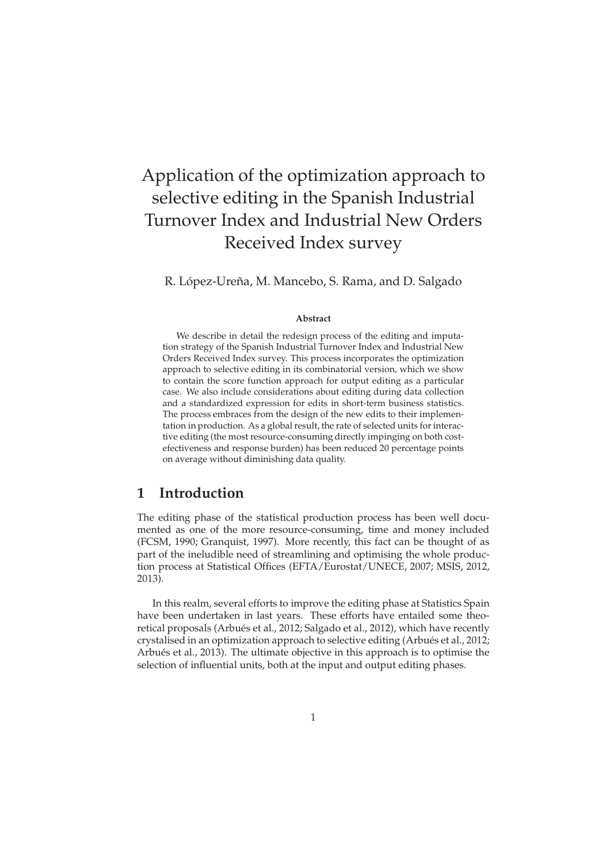# Application of the optimization approach to selective editing in the Spanish Industrial Turnover Index and Industrial New Orders Received Index survey

R. López-Ureña, M. Mancebo, S. Rama, and D. Salgado

#### **Abstract**

We describe in detail the redesign process of the editing and imputation strategy of the Spanish Industrial Turnover Index and Industrial New Orders Received Index survey. This process incorporates the optimization approach to selective editing in its combinatorial version, which we show to contain the score function approach for output editing as a particular case. We also include considerations about editing during data collection and a standardized expression for edits in short-term business statistics. The process embraces from the design of the new edits to their implementation in production. As a global result, the rate of selected units for interactive editing (the most resource-consuming directly impinging on both costefectiveness and response burden) has been reduced 20 percentage points on average without diminishing data quality.

# **1 Introduction**

The editing phase of the statistical production process has been well documented as one of the more resource-consuming, time and money included (FCSM, 1990; Granquist, 1997). More recently, this fact can be thought of as part of the ineludible need of streamlining and optimising the whole production process at Statistical Offices (EFTA/Eurostat/UNECE, 2007; MSIS, 2012, 2013).

In this realm, several efforts to improve the editing phase at Statistics Spain have been undertaken in last years. These efforts have entailed some theoretical proposals (Arbués et al., 2012; Salgado et al., 2012), which have recently crystalised in an optimization approach to selective editing (Arbués et al., 2012; Arbués et al., 2013). The ultimate objective in this approach is to optimise the selection of influential units, both at the input and output editing phases.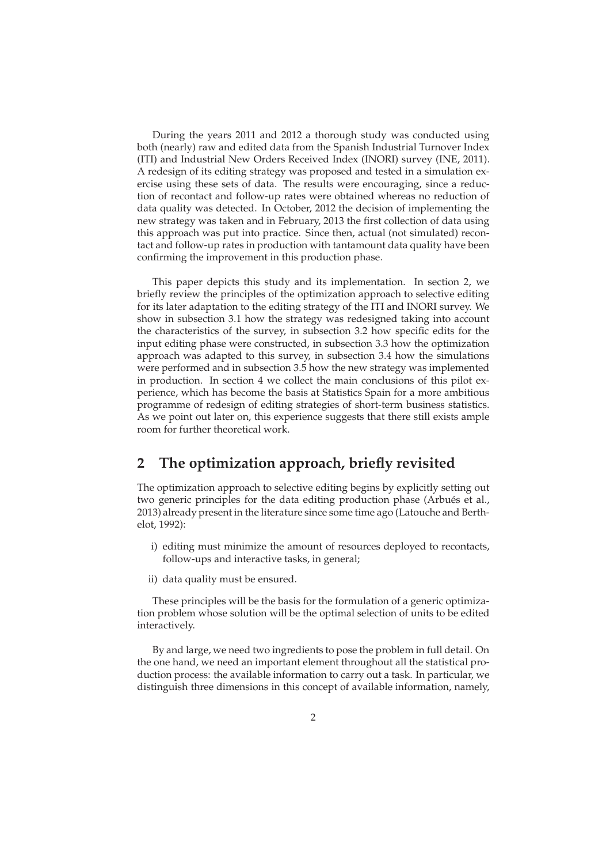During the years 2011 and 2012 a thorough study was conducted using both (nearly) raw and edited data from the Spanish Industrial Turnover Index (ITI) and Industrial New Orders Received Index (INORI) survey (INE, 2011). A redesign of its editing strategy was proposed and tested in a simulation exercise using these sets of data. The results were encouraging, since a reduction of recontact and follow-up rates were obtained whereas no reduction of data quality was detected. In October, 2012 the decision of implementing the new strategy was taken and in February, 2013 the first collection of data using this approach was put into practice. Since then, actual (not simulated) recontact and follow-up rates in production with tantamount data quality have been confirming the improvement in this production phase.

This paper depicts this study and its implementation. In section 2, we briefly review the principles of the optimization approach to selective editing for its later adaptation to the editing strategy of the ITI and INORI survey. We show in subsection 3.1 how the strategy was redesigned taking into account the characteristics of the survey, in subsection 3.2 how specific edits for the input editing phase were constructed, in subsection 3.3 how the optimization approach was adapted to this survey, in subsection 3.4 how the simulations were performed and in subsection 3.5 how the new strategy was implemented in production. In section 4 we collect the main conclusions of this pilot experience, which has become the basis at Statistics Spain for a more ambitious programme of redesign of editing strategies of short-term business statistics. As we point out later on, this experience suggests that there still exists ample room for further theoretical work.

# **2 The optimization approach, briefly revisited**

The optimization approach to selective editing begins by explicitly setting out two generic principles for the data editing production phase (Arbués et al., 2013) already present in the literature since some time ago (Latouche and Berthelot, 1992):

- i) editing must minimize the amount of resources deployed to recontacts, follow-ups and interactive tasks, in general;
- ii) data quality must be ensured.

These principles will be the basis for the formulation of a generic optimization problem whose solution will be the optimal selection of units to be edited interactively.

By and large, we need two ingredients to pose the problem in full detail. On the one hand, we need an important element throughout all the statistical production process: the available information to carry out a task. In particular, we distinguish three dimensions in this concept of available information, namely,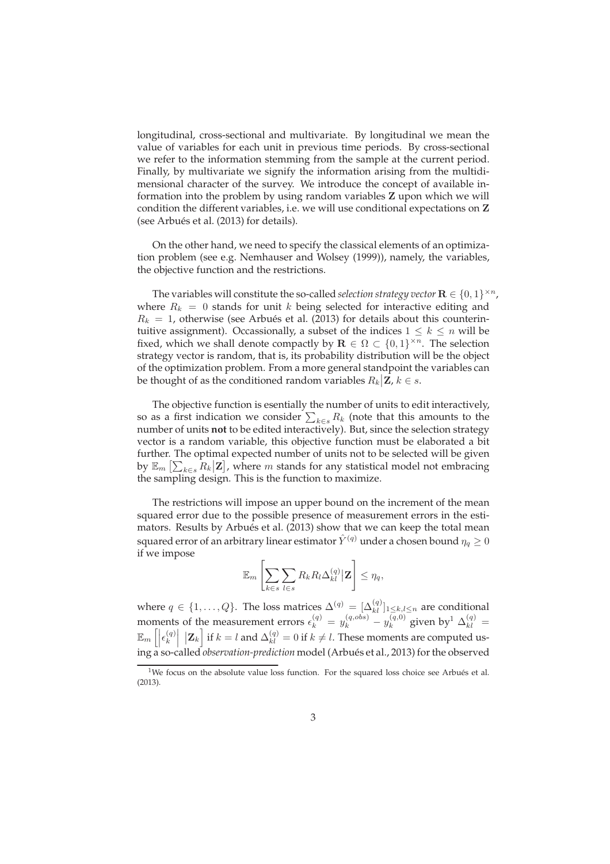longitudinal, cross-sectional and multivariate. By longitudinal we mean the value of variables for each unit in previous time periods. By cross-sectional we refer to the information stemming from the sample at the current period. Finally, by multivariate we signify the information arising from the multidimensional character of the survey. We introduce the concept of available information into the problem by using random variables Z upon which we will condition the different variables, i.e. we will use conditional expectations on Z (see Arbués et al. (2013) for details).

On the other hand, we need to specify the classical elements of an optimization problem (see e.g. Nemhauser and Wolsey (1999)), namely, the variables, the objective function and the restrictions.

The variables will constitute the so-called *selection strategy vector*  $\mathbf{R} \in \{0,1\}^{\times n}$ , where  $R_k = 0$  stands for unit k being selected for interactive editing and  $R_k = 1$ , otherwise (see Arbués et al. (2013) for details about this counterintuitive assignment). Occassionally, a subset of the indices  $1 \leq k \leq n$  will be fixed, which we shall denote compactly by  $\mathbf{R} \in \Omega \subset \{0,1\}^{\times n}$ . The selection strategy vector is random, that is, its probability distribution will be the object of the optimization problem. From a more general standpoint the variables can be thought of as the conditioned random variables  $R_k | \mathbf{Z}, k \in \mathcal{S}$ .

The objective function is esentially the number of units to edit interactively, so as a first indication we consider  $\sum_{k\in s} R_k$  (note that this amounts to the number of units **not** to be edited interactively). But, since the selection strategy vector is a random variable, this objective function must be elaborated a bit further. The optimal expected number of units not to be selected will be given by  $\mathbb{E}_m \left[ \sum_{k \in s} R_k \big| \mathbf{Z} \right]$ , where  $m$  stands for any statistical model not embracing the sampling design. This is the function to maximize.

The restrictions will impose an upper bound on the increment of the mean squared error due to the possible presence of measurement errors in the estimators. Results by Arbués et al. (2013) show that we can keep the total mean squared error of an arbitrary linear estimator  $\hat{Y}^{(q)}$  under a chosen bound  $\eta_q \geq 0$ if we impose

$$
\mathbb{E}_m \left[ \sum_{k \in s} \sum_{l \in s} R_k R_l \Delta_{kl}^{(q)} | \mathbf{Z} \right] \leq \eta_q,
$$

where  $q \in \{1, ..., Q\}$ . The loss matrices  $\Delta^{(q)} = [\Delta^{(q)}_{kl}]_{1 \leq k,l \leq n}$  are conditional moments of the measurement errors  $\epsilon_k^{(q)} = y_k^{(q, obs)} - y_k^{(q, 0)}$  $\int_k^{(q,0)}$  given by<sup>1</sup>  $\Delta_{kl}^{(q)}$  =  $\mathbb{E}_m\left[\left|\epsilon_k^{(q)}\right|\right]$ k  $|\mathbf{Z}_k|$  if  $k = l$  and  $\Delta_{kl}^{(q)} = 0$  if  $k \neq l$ . These moments are computed using a so-called *observation-prediction* model (Arbués et al., 2013) for the observed

<sup>&</sup>lt;sup>1</sup>We focus on the absolute value loss function. For the squared loss choice see Arbués et al. (2013).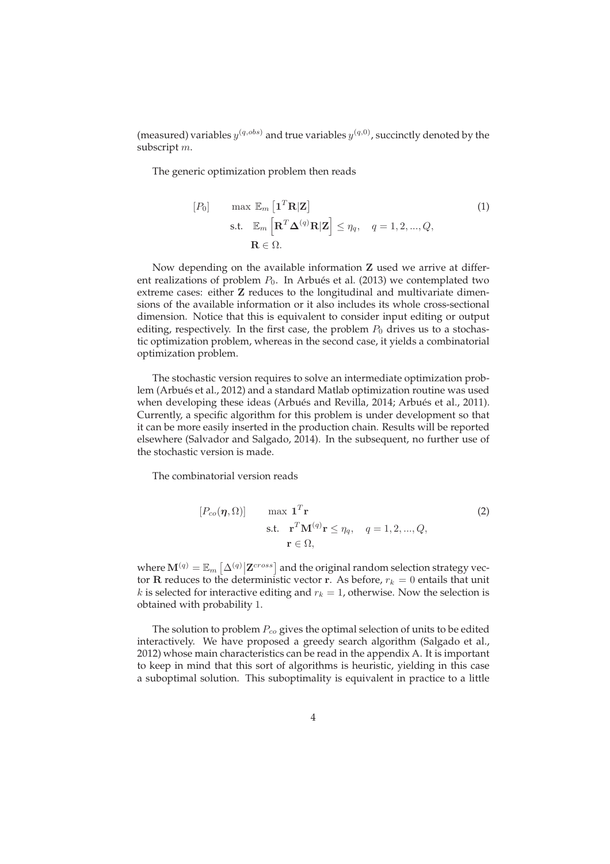(measured) variables  $y^{(q,obs)}$  and true variables  $y^{(q,0)}$ , succinctly denoted by the subscript m.

The generic optimization problem then reads

$$
[P_0] \quad \max \mathbb{E}_m \left[ \mathbf{1}^T \mathbf{R} | \mathbf{Z} \right]
$$
\n
$$
\text{s.t.} \quad \mathbb{E}_m \left[ \mathbf{R}^T \mathbf{\Delta}^{(q)} \mathbf{R} | \mathbf{Z} \right] \le \eta_q, \quad q = 1, 2, ..., Q,
$$
\n
$$
\mathbf{R} \in \Omega.
$$
\n
$$
(1)
$$

Now depending on the available information Z used we arrive at different realizations of problem  $P_0$ . In Arbués et al. (2013) we contemplated two extreme cases: either Z reduces to the longitudinal and multivariate dimensions of the available information or it also includes its whole cross-sectional dimension. Notice that this is equivalent to consider input editing or output editing, respectively. In the first case, the problem  $P_0$  drives us to a stochastic optimization problem, whereas in the second case, it yields a combinatorial optimization problem.

The stochastic version requires to solve an intermediate optimization problem (Arbués et al., 2012) and a standard Matlab optimization routine was used when developing these ideas (Arbués and Revilla, 2014; Arbués et al., 2011). Currently, a specific algorithm for this problem is under development so that it can be more easily inserted in the production chain. Results will be reported elsewhere (Salvador and Salgado, 2014). In the subsequent, no further use of the stochastic version is made.

The combinatorial version reads

$$
[P_{co}(\boldsymbol{\eta}, \Omega)] \qquad \max \mathbf{1}^{T} \mathbf{r}
$$
  
s.t. 
$$
\mathbf{r}^{T} \mathbf{M}^{(q)} \mathbf{r} \leq \eta_{q}, \quad q = 1, 2, ..., Q,
$$

$$
\mathbf{r} \in \Omega,
$$
 (2)

where  $\mathbf{M}^{(q)} = \mathbb{E}_m \left[ \Delta^{(q)} \middle| \mathbf{Z}^{cross} \right]$  and the original random selection strategy vector R reduces to the deterministic vector r. As before,  $r_k = 0$  entails that unit k is selected for interactive editing and  $r_k = 1$ , otherwise. Now the selection is obtained with probability 1.

The solution to problem  $P_{co}$  gives the optimal selection of units to be edited interactively. We have proposed a greedy search algorithm (Salgado et al., 2012) whose main characteristics can be read in the appendix A. It is important to keep in mind that this sort of algorithms is heuristic, yielding in this case a suboptimal solution. This suboptimality is equivalent in practice to a little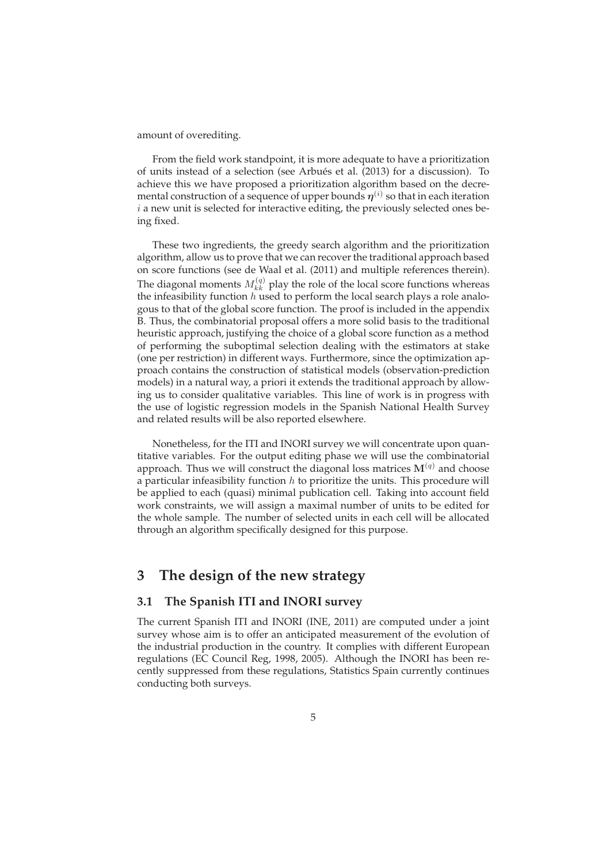amount of overediting.

From the field work standpoint, it is more adequate to have a prioritization of units instead of a selection (see Arbués et al. (2013) for a discussion). To achieve this we have proposed a prioritization algorithm based on the decremental construction of a sequence of upper bounds  $\eta^{(i)}$  so that in each iteration  $i$  a new unit is selected for interactive editing, the previously selected ones being fixed.

These two ingredients, the greedy search algorithm and the prioritization algorithm, allow us to prove that we can recover the traditional approach based on score functions (see de Waal et al. (2011) and multiple references therein). The diagonal moments  $M_{kk}^{(q)}$  play the role of the local score functions whereas the infeasibility function  $h$  used to perform the local search plays a role analogous to that of the global score function. The proof is included in the appendix B. Thus, the combinatorial proposal offers a more solid basis to the traditional heuristic approach, justifying the choice of a global score function as a method of performing the suboptimal selection dealing with the estimators at stake (one per restriction) in different ways. Furthermore, since the optimization approach contains the construction of statistical models (observation-prediction models) in a natural way, a priori it extends the traditional approach by allowing us to consider qualitative variables. This line of work is in progress with the use of logistic regression models in the Spanish National Health Survey and related results will be also reported elsewhere.

Nonetheless, for the ITI and INORI survey we will concentrate upon quantitative variables. For the output editing phase we will use the combinatorial approach. Thus we will construct the diagonal loss matrices  $M<sup>(q)</sup>$  and choose a particular infeasibility function  $h$  to prioritize the units. This procedure will be applied to each (quasi) minimal publication cell. Taking into account field work constraints, we will assign a maximal number of units to be edited for the whole sample. The number of selected units in each cell will be allocated through an algorithm specifically designed for this purpose.

## **3 The design of the new strategy**

## **3.1 The Spanish ITI and INORI survey**

The current Spanish ITI and INORI (INE, 2011) are computed under a joint survey whose aim is to offer an anticipated measurement of the evolution of the industrial production in the country. It complies with different European regulations (EC Council Reg, 1998, 2005). Although the INORI has been recently suppressed from these regulations, Statistics Spain currently continues conducting both surveys.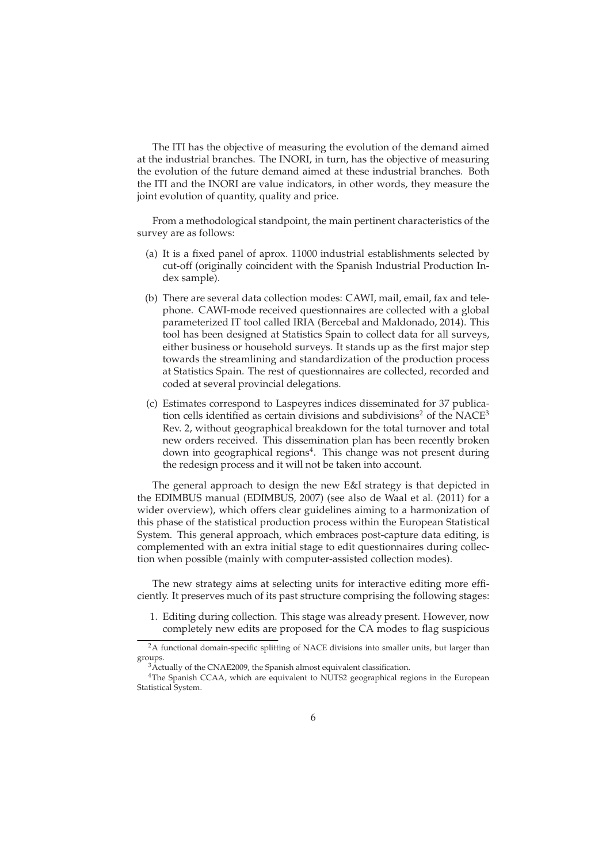The ITI has the objective of measuring the evolution of the demand aimed at the industrial branches. The INORI, in turn, has the objective of measuring the evolution of the future demand aimed at these industrial branches. Both the ITI and the INORI are value indicators, in other words, they measure the joint evolution of quantity, quality and price.

From a methodological standpoint, the main pertinent characteristics of the survey are as follows:

- (a) It is a fixed panel of aprox. 11000 industrial establishments selected by cut-off (originally coincident with the Spanish Industrial Production Index sample).
- (b) There are several data collection modes: CAWI, mail, email, fax and telephone. CAWI-mode received questionnaires are collected with a global parameterized IT tool called IRIA (Bercebal and Maldonado, 2014). This tool has been designed at Statistics Spain to collect data for all surveys, either business or household surveys. It stands up as the first major step towards the streamlining and standardization of the production process at Statistics Spain. The rest of questionnaires are collected, recorded and coded at several provincial delegations.
- (c) Estimates correspond to Laspeyres indices disseminated for 37 publication cells identified as certain divisions and subdivisions<sup>2</sup> of the  $NACE<sup>3</sup>$ Rev. 2, without geographical breakdown for the total turnover and total new orders received. This dissemination plan has been recently broken down into geographical regions<sup>4</sup>. This change was not present during the redesign process and it will not be taken into account.

The general approach to design the new E&I strategy is that depicted in the EDIMBUS manual (EDIMBUS, 2007) (see also de Waal et al. (2011) for a wider overview), which offers clear guidelines aiming to a harmonization of this phase of the statistical production process within the European Statistical System. This general approach, which embraces post-capture data editing, is complemented with an extra initial stage to edit questionnaires during collection when possible (mainly with computer-assisted collection modes).

The new strategy aims at selecting units for interactive editing more efficiently. It preserves much of its past structure comprising the following stages:

1. Editing during collection. This stage was already present. However, now completely new edits are proposed for the CA modes to flag suspicious

<sup>&</sup>lt;sup>2</sup>A functional domain-specific splitting of NACE divisions into smaller units, but larger than groups.

<sup>&</sup>lt;sup>3</sup>Actually of the CNAE2009, the Spanish almost equivalent classification.

<sup>&</sup>lt;sup>4</sup>The Spanish CCAA, which are equivalent to NUTS2 geographical regions in the European Statistical System.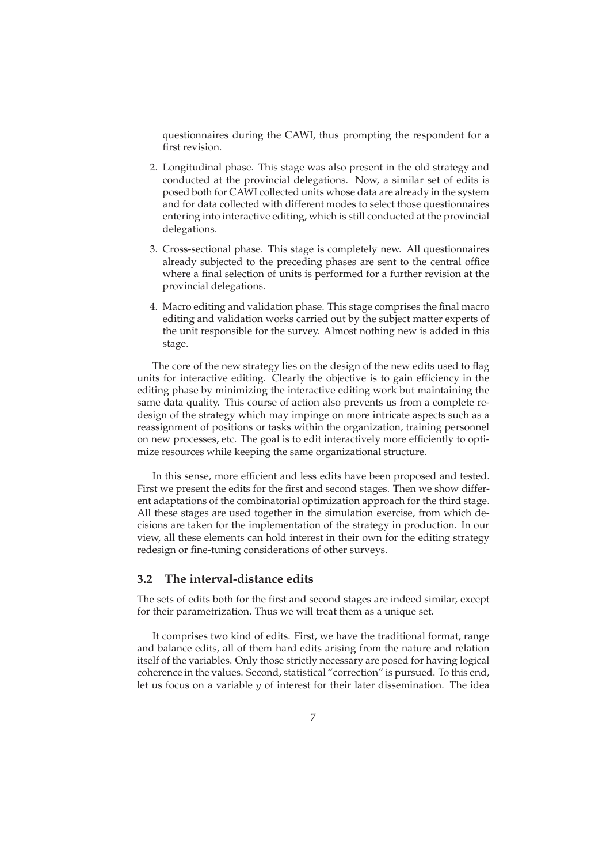questionnaires during the CAWI, thus prompting the respondent for a first revision.

- 2. Longitudinal phase. This stage was also present in the old strategy and conducted at the provincial delegations. Now, a similar set of edits is posed both for CAWI collected units whose data are already in the system and for data collected with different modes to select those questionnaires entering into interactive editing, which is still conducted at the provincial delegations.
- 3. Cross-sectional phase. This stage is completely new. All questionnaires already subjected to the preceding phases are sent to the central office where a final selection of units is performed for a further revision at the provincial delegations.
- 4. Macro editing and validation phase. This stage comprises the final macro editing and validation works carried out by the subject matter experts of the unit responsible for the survey. Almost nothing new is added in this stage.

The core of the new strategy lies on the design of the new edits used to flag units for interactive editing. Clearly the objective is to gain efficiency in the editing phase by minimizing the interactive editing work but maintaining the same data quality. This course of action also prevents us from a complete redesign of the strategy which may impinge on more intricate aspects such as a reassignment of positions or tasks within the organization, training personnel on new processes, etc. The goal is to edit interactively more efficiently to optimize resources while keeping the same organizational structure.

In this sense, more efficient and less edits have been proposed and tested. First we present the edits for the first and second stages. Then we show different adaptations of the combinatorial optimization approach for the third stage. All these stages are used together in the simulation exercise, from which decisions are taken for the implementation of the strategy in production. In our view, all these elements can hold interest in their own for the editing strategy redesign or fine-tuning considerations of other surveys.

#### **3.2 The interval-distance edits**

The sets of edits both for the first and second stages are indeed similar, except for their parametrization. Thus we will treat them as a unique set.

It comprises two kind of edits. First, we have the traditional format, range and balance edits, all of them hard edits arising from the nature and relation itself of the variables. Only those strictly necessary are posed for having logical coherence in the values. Second, statistical "correction" is pursued. To this end, let us focus on a variable  $y$  of interest for their later dissemination. The idea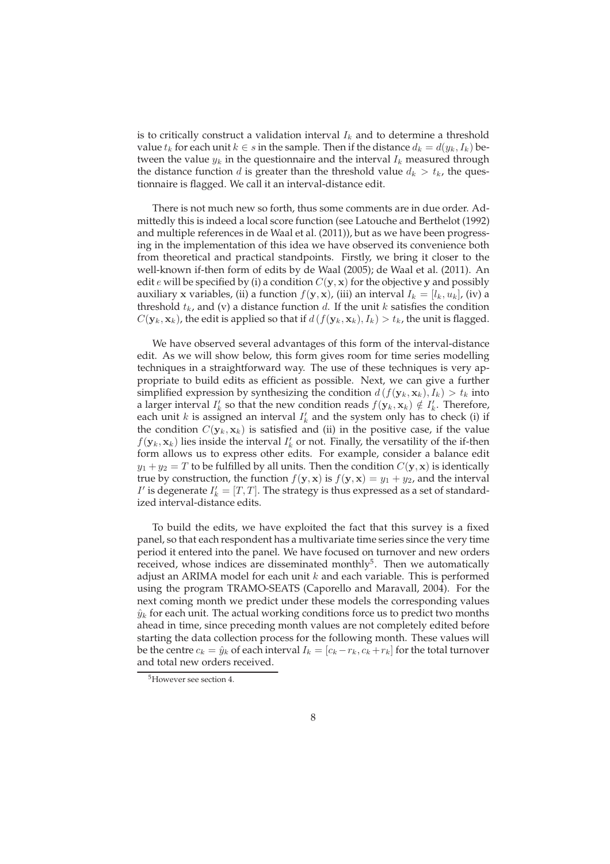is to critically construct a validation interval  $I_k$  and to determine a threshold value  $t_k$  for each unit  $k \in s$  in the sample. Then if the distance  $d_k = d(y_k, I_k)$  between the value  $y_k$  in the questionnaire and the interval  $I_k$  measured through the distance function d is greater than the threshold value  $d_k > t_k$ , the questionnaire is flagged. We call it an interval-distance edit.

There is not much new so forth, thus some comments are in due order. Admittedly this is indeed a local score function (see Latouche and Berthelot (1992) and multiple references in de Waal et al. (2011)), but as we have been progressing in the implementation of this idea we have observed its convenience both from theoretical and practical standpoints. Firstly, we bring it closer to the well-known if-then form of edits by de Waal (2005); de Waal et al. (2011). An edit e will be specified by (i) a condition  $C(y, x)$  for the objective y and possibly auxiliary x variables, (ii) a function  $f(y, x)$ , (iii) an interval  $I_k = [l_k, u_k]$ , (iv) a threshold  $t_k$ , and (v) a distance function d. If the unit k satisfies the condition  $C(\mathbf{y}_k, \mathbf{x}_k)$ , the edit is applied so that if  $d(f(\mathbf{y}_k, \mathbf{x}_k), I_k) > t_k$ , the unit is flagged.

We have observed several advantages of this form of the interval-distance edit. As we will show below, this form gives room for time series modelling techniques in a straightforward way. The use of these techniques is very appropriate to build edits as efficient as possible. Next, we can give a further simplified expression by synthesizing the condition  $d(f(\mathbf{y}_k, \mathbf{x}_k), I_k) > t_k$  into a larger interval  $I'_k$  so that the new condition reads  $f(\mathbf{y}_k, \mathbf{x}_k) \notin I'_k$ . Therefore, each unit  $k$  is assigned an interval  $I'_k$  and the system only has to check (i) if the condition  $C(\mathbf{y}_k, \mathbf{x}_k)$  is satisfied and (ii) in the positive case, if the value  $f(\mathbf{y}_k, \mathbf{x}_k)$  lies inside the interval  $I'_k$  or not. Finally, the versatility of the if-then form allows us to express other edits. For example, consider a balance edit  $y_1 + y_2 = T$  to be fulfilled by all units. Then the condition  $C(y, x)$  is identically true by construction, the function  $f(\mathbf{y}, \mathbf{x})$  is  $f(\mathbf{y}, \mathbf{x}) = y_1 + y_2$ , and the interval  $I'$  is degenerate  $I'_k = [T, T]$ . The strategy is thus expressed as a set of standardized interval-distance edits.

To build the edits, we have exploited the fact that this survey is a fixed panel, so that each respondent has a multivariate time series since the very time period it entered into the panel. We have focused on turnover and new orders received, whose indices are disseminated monthly<sup>5</sup>. Then we automatically adjust an ARIMA model for each unit  $k$  and each variable. This is performed using the program TRAMO-SEATS (Caporello and Maravall, 2004). For the next coming month we predict under these models the corresponding values  $\hat{y}_k$  for each unit. The actual working conditions force us to predict two months ahead in time, since preceding month values are not completely edited before starting the data collection process for the following month. These values will be the centre  $c_k = \hat{y}_k$  of each interval  $I_k = [c_k - r_k, c_k + r_k]$  for the total turnover and total new orders received.

<sup>5</sup>However see section 4.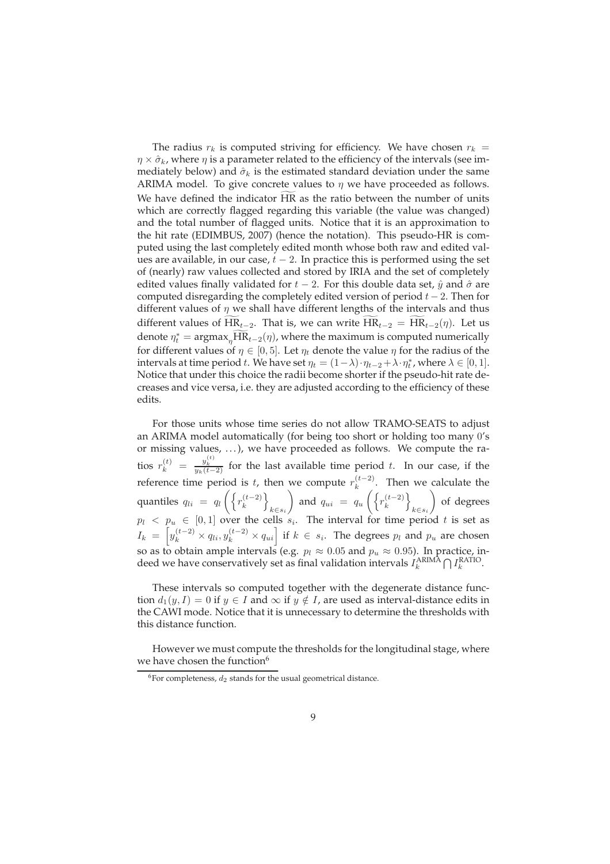The radius  $r_k$  is computed striving for efficiency. We have chosen  $r_k =$  $\eta \times \hat{\sigma}_k$ , where  $\eta$  is a parameter related to the efficiency of the intervals (see immediately below) and  $\hat{\sigma}_k$  is the estimated standard deviation under the same ARIMA model. To give concrete values to  $\eta$  we have proceeded as follows. We have defined the indicator HR as the ratio between the number of units which are correctly flagged regarding this variable (the value was changed) and the total number of flagged units. Notice that it is an approximation to the hit rate (EDIMBUS, 2007) (hence the notation). This pseudo-HR is computed using the last completely edited month whose both raw and edited values are available, in our case,  $t - 2$ . In practice this is performed using the set of (nearly) raw values collected and stored by IRIA and the set of completely edited values finally validated for  $t - 2$ . For this double data set,  $\hat{y}$  and  $\hat{\sigma}$  are computed disregarding the completely edited version of period  $t - 2$ . Then for different values of  $\eta$  we shall have different lengths of the intervals and thus different values of HR<sub>t−2</sub>. That is, we can write  $\overline{HR}_{t-2} = \overline{HR}_{t-2}(\eta)$ . Let us denote  $\eta_t^* = \text{argmax}_{\eta} \overline{HR}_{t-2}(\eta)$ , where the maximum is computed numerically for different values of  $\eta \in [0, 5]$ . Let  $\eta_t$  denote the value  $\eta$  for the radius of the intervals at time period t. We have set  $\eta_t = (1 - \lambda) \cdot \eta_{t-2} + \lambda \cdot \eta_t^*$ , where  $\lambda \in [0, 1]$ . Notice that under this choice the radii become shorter if the pseudo-hit rate decreases and vice versa, i.e. they are adjusted according to the efficiency of these edits.

For those units whose time series do not allow TRAMO-SEATS to adjust an ARIMA model automatically (for being too short or holding too many 0's or missing values, . . . ), we have proceeded as follows. We compute the ratios  $r_k^{(t)} = \frac{y_k^{(t)}}{y_k(t-2)}$  for the last available time period t. In our case, if the reference time period is t, then we compute  $r_k^{(t-2)}$  $\binom{1}{k}$ . Then we calculate the quantiles  $q_{li} = q_l \left( \left\{ r_k^{(t-2)} \right\} \right)$  $\begin{bmatrix} (t-2) \\ k \end{bmatrix}$  $k \in s_i$  $\setminus$ and  $q_{ui} = q_u \left( \left\{ r_k^{(t-2)} \right\} \right)$  $\begin{bmatrix} (t-2) \\ k \end{bmatrix}$  $k \in s_i$  $\setminus$ of degrees  $p_l \leq p_u \in [0,1]$  over the cells  $s_i$ . The interval for time period t is set as  $I_k = \left[ y_k^{(t-2)} \times q_{li}, y_k^{(t-2)} \times q_{ui} \right]$  if  $k \in s_i$ . The degrees  $p_l$  and  $p_u$  are chosen so as to obtain ample intervals (e.g.  $p_l \approx 0.05$  and  $p_u \approx 0.95$ ). In practice, indeed we have conservatively set as final validation intervals  $I_k^{ARIMA} \bigcap I_k^{RATIO}$ .

These intervals so computed together with the degenerate distance function  $d_1(y, I) = 0$  if  $y \in I$  and  $\infty$  if  $y \notin I$ , are used as interval-distance edits in the CAWI mode. Notice that it is unnecessary to determine the thresholds with this distance function.

However we must compute the thresholds for the longitudinal stage, where we have chosen the function<sup>6</sup>

 $6$ For completeness,  $d_2$  stands for the usual geometrical distance.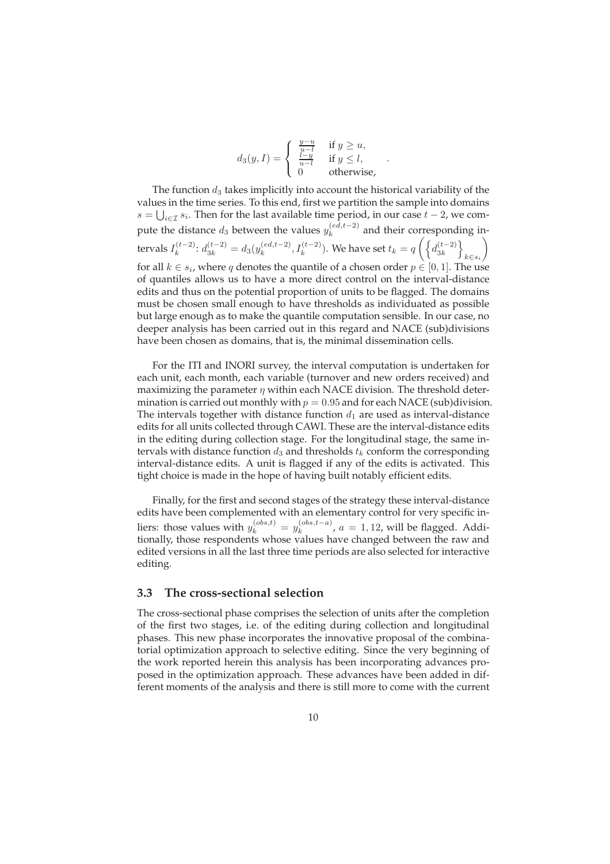$$
d_3(y,I) = \begin{cases} \frac{y-u}{u-l} & \text{if } y \ge u, \\ \frac{l-y}{u-l} & \text{if } y \le l, \\ 0 & \text{otherwise,} \end{cases}
$$

.

The function  $d_3$  takes implicitly into account the historical variability of the values in the time series. To this end, first we partition the sample into domains  $s = \bigcup_{i \in \mathcal{I}} s_i$ . Then for the last available time period, in our case  $t - 2$ , we compute the distance  $d_3$  between the values  $y_k^{(ed,t-2)}$  $\sum_{k=1}^{\lfloor ea, t-2 \rfloor}$  and their corresponding intervals  $I_k^{(t-2)}$  $d_k^{(t-2)}$ :  $d_{3k}^{(t-2)} = d_3(y_k^{(ed,t-2)})$  $\chi_k^{(ed,t-2)}$ ,  $I_k^{(t-2)}$ ). We have set  $t_k = q \left( \begin{cases} d_{3k}^{(t-2)} \end{cases} \right)$  $\begin{Bmatrix} (t-2) \\ 3k \end{Bmatrix}$  $k \in s_i$  $\setminus$ for all  $k \in s_i$ , where q denotes the quantile of a chosen order  $p \in [0,1]$ . The use of quantiles allows us to have a more direct control on the interval-distance edits and thus on the potential proportion of units to be flagged. The domains must be chosen small enough to have thresholds as individuated as possible but large enough as to make the quantile computation sensible. In our case, no deeper analysis has been carried out in this regard and NACE (sub)divisions have been chosen as domains, that is, the minimal dissemination cells.

For the ITI and INORI survey, the interval computation is undertaken for each unit, each month, each variable (turnover and new orders received) and maximizing the parameter  $\eta$  within each NACE division. The threshold determination is carried out monthly with  $p = 0.95$  and for each NACE (sub)division. The intervals together with distance function  $d_1$  are used as interval-distance edits for all units collected through CAWI. These are the interval-distance edits in the editing during collection stage. For the longitudinal stage, the same intervals with distance function  $d_3$  and thresholds  $t_k$  conform the corresponding interval-distance edits. A unit is flagged if any of the edits is activated. This tight choice is made in the hope of having built notably efficient edits.

Finally, for the first and second stages of the strategy these interval-distance edits have been complemented with an elementary control for very specific inliers: those values with  $y_k^{(obs,t)} = y_k^{(obs,t-a)}$  $\binom{(00s,t-a)}{k}$ ,  $a = 1,12$ , will be flagged. Additionally, those respondents whose values have changed between the raw and edited versions in all the last three time periods are also selected for interactive editing.

#### **3.3 The cross-sectional selection**

The cross-sectional phase comprises the selection of units after the completion of the first two stages, i.e. of the editing during collection and longitudinal phases. This new phase incorporates the innovative proposal of the combinatorial optimization approach to selective editing. Since the very beginning of the work reported herein this analysis has been incorporating advances proposed in the optimization approach. These advances have been added in different moments of the analysis and there is still more to come with the current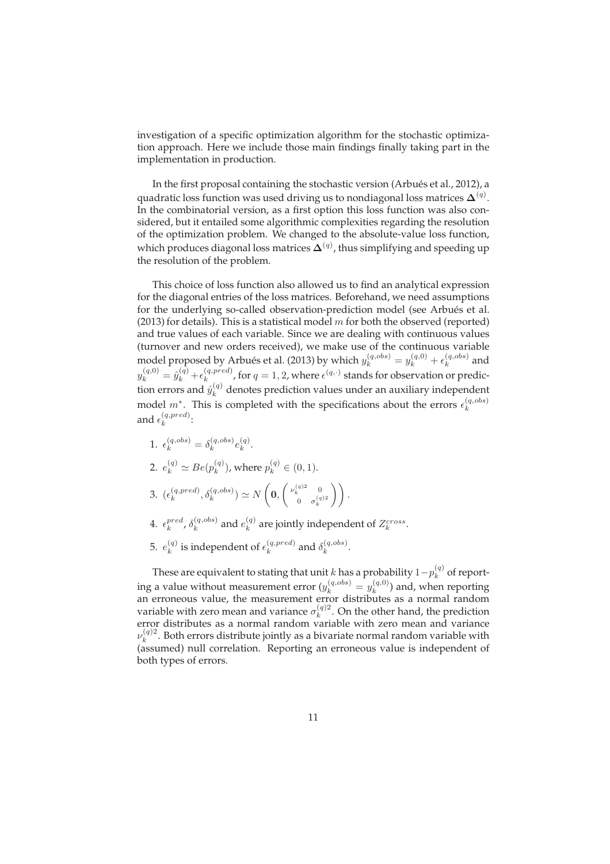investigation of a specific optimization algorithm for the stochastic optimization approach. Here we include those main findings finally taking part in the implementation in production.

In the first proposal containing the stochastic version (Arbués et al., 2012), a quadratic loss function was used driving us to nondiagonal loss matrices  $\mathbf{\Delta}^{(q)}$ . In the combinatorial version, as a first option this loss function was also considered, but it entailed some algorithmic complexities regarding the resolution of the optimization problem. We changed to the absolute-value loss function, which produces diagonal loss matrices  $\mathbf{\Delta}^{(q)}$ , thus simplifying and speeding up the resolution of the problem.

This choice of loss function also allowed us to find an analytical expression for the diagonal entries of the loss matrices. Beforehand, we need assumptions for the underlying so-called observation-prediction model (see Arbués et al. (2013) for details). This is a statistical model  $m$  for both the observed (reported) and true values of each variable. Since we are dealing with continuous values (turnover and new orders received), we make use of the continuous variable model proposed by Arbués et al. (2013) by which  $y_k^{(q,obs)} = y_k^{(q,0)} + \epsilon_k^{(q,obs)}$  $k^{(q, oos)}$  and  $y_k^{(q,0)} = \hat{y}_k^{(q)} + \epsilon_k^{(q,pred)}$  $\kappa^{(q,pred)}$ , for  $q=1,2$ , where  $\epsilon^{(q,\cdot)}$  stands for observation or prediction errors and  $\hat{y}^{(q)}_k$  denotes prediction values under an auxiliary independent model  $m^*$ . This is completed with the specifications about the errors  $\epsilon_k^{(q,obs)}$ k and  $\epsilon_k^{(q,pred)}$  $\mathcal{L}^{(q,preu)}_k$ :

1.  $\epsilon_k^{(q,obs)} = \delta_k^{(q,obs)}$  $\binom{(q,obs)}{k}e_k^{(q)}$  $\frac{(q)}{k}$ . 2.  $e_k^{(q)} \simeq Be(p_k^{(q)})$  $\binom{q}{k}$ , where  $p_k^{(q)} \in (0,1)$ .

$$
3. \ \left(\epsilon_k^{(q,pred)},\delta_k^{(q,obs)}\right)\simeq N\left(\mathbf{0},\left(\begin{smallmatrix}\nu_k^{(q)2} & 0 \\ 0 & \sigma_k^{(q)2}\end{smallmatrix}\right)\right).
$$

- $4. \epsilon_k^{pred}, \delta_k^{(q,obs)}$  $\binom{(q,obs)}{k}$  and  $e_k^{(q)}$  $k^{(q)}$  are jointly independent of  $Z_k^{cross}$ .
- 5.  $e_k^{(q)}$  $\epsilon_k^{(q)}$  is independent of  $\epsilon_k^{(q,pred)}$  $\binom{(q, pred)}{k}$  and  $\delta_k^{(q, obs)}$  $\frac{(q, oos)}{k}$ .

These are equivalent to stating that unit  $k$  has a probability  $1-p_k^{(q)}$  $k^{(q)}$  of reporting a value without measurement error  $(y_k^{(q,obs)} = y_k^{(q,0)})$  $\binom{(q,0)}{k}$  and, when reporting an erroneous value, the measurement error distributes as a normal random variable with zero mean and variance  $\sigma_k^{(q)2}$  $k^{(q)}$ . On the other hand, the prediction error distributes as a normal random variable with zero mean and variance  $\nu_k^{(q)}$  $\mathbf{k}^{(q)2}$ . Both errors distribute jointly as a bivariate normal random variable with (assumed) null correlation. Reporting an erroneous value is independent of both types of errors.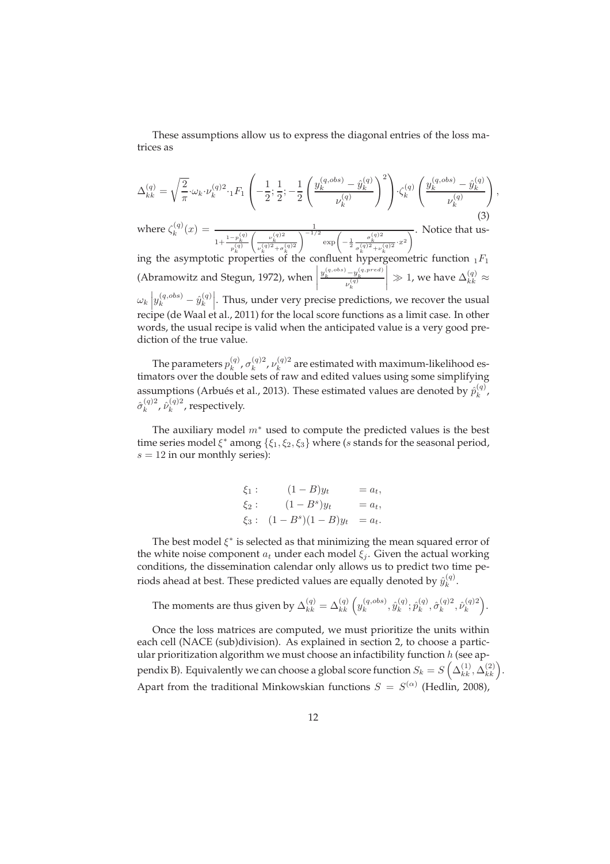These assumptions allow us to express the diagonal entries of the loss matrices as

$$
\Delta_{kk}^{(q)} = \sqrt{\frac{2}{\pi}} \cdot \omega_k \cdot \nu_k^{(q)2} \cdot {}_1F_1 \left( -\frac{1}{2}; \frac{1}{2}; -\frac{1}{2} \left( \frac{y_k^{(q, obs)} - \hat{y}_k^{(q)}}{\nu_k^{(q)}} \right)^2 \right) \cdot \zeta_k^{(q)} \left( \frac{y_k^{(q, obs)} - \hat{y}_k^{(q)}}{\nu_k^{(q)}} \right)
$$
\nwhere  $\zeta_k^{(q)}(x) = \frac{1}{1 + \frac{1 - p_k^{(q)}}{p_k^{(q)}} \left( \frac{\nu_k^{(q)2}}{\nu_k^{(q)2} + \sigma_k^{(q)2}} \right)^{-1/2} \exp\left( -\frac{1}{2} \frac{\sigma_k^{(q)2}}{\sigma_k^{(q)2} + \nu_k^{(q)2}} \cdot x^2 \right)}$ . Notice that us-

,

 $1+\frac{1-p_k^{(q)}}{p_k^{(q)}}$  $\left(\frac{\nu_k^{(q)2}}{\nu_k^{(q)2}+\sigma_k^{(q)2}}\right)$ ing the asymptotic properties of the confluent hypergeometric function  $_1F_1$ (Abramowitz and Stegun, 1972), when  $\frac{y_k^{(q,obs)}-y_k^{(q,pred)}}{\nu_k^{(q)}}$  $\begin{array}{c} \hline \end{array}$  $\gg 1$ , we have  $\Delta^{(q)}_{kk} \approx$  $\omega_k \left| y_k^{(q,obs)} - \hat{y}_k^{(q)} \right|$ k   . Thus, under very precise predictions, we recover the usual recipe (de Waal et al., 2011) for the local score functions as a limit case. In other words, the usual recipe is valid when the anticipated value is a very good prediction of the true value.

The parameters  $p_k^{\left(q\right)}$  $\sigma_k^{(q)}$ ,  $\sigma_k^{(q)2}$  $\frac{(q)2}{k}$ ,  $\nu_k^{(q)2}$  $k_k^{(q)}$  are estimated with maximum-likelihood estimators over the double sets of raw and edited values using some simplifying assumptions (Arbués et al., 2013). These estimated values are denoted by  $\hat{p}_k^{(q)}$  $\binom{q}{k}$  $\hat{\sigma}_{k}^{(q)2}$  $\hat{\nu}_k^{(q)2}$ ,  $\hat{\nu}_k^{(q)2}$  $k^{(q)}$ , respectively.

The auxiliary model  $m^*$  used to compute the predicted values is the best time series model  $\xi^*$  among  $\{\xi_1, \xi_2, \xi_3\}$  where (s stands for the seasonal period,  $s = 12$  in our monthly series):

$$
\xi_1: \t(1-B)y_t = a_t,\n\xi_2: \t(1-B^s)y_t = a_t,\n\xi_3: \t(1-B^s)(1-B)y_t = a_t.
$$

The best model  $\xi^*$  is selected as that minimizing the mean squared error of the white noise component  $a_t$  under each model  $\xi_i$ . Given the actual working conditions, the dissemination calendar only allows us to predict two time periods ahead at best. These predicted values are equally denoted by  $\hat{y}^{(q)}_k$  $k^{(q)}$ .

The moments are thus given by  $\Delta_{kk}^{(q)} = \Delta_{kk}^{(q)} \left( y_k^{(q,obs)} \right)$  $\hat{y}_k^{(q,obs)}, \hat{y}_k^{(q)}$  $_{k}^{\left( q\right) };$   $\hat{p}_{k}^{\left( q\right) }$  $\hat{\sigma}_k^{(q)}, \hat{\sigma}_k^{(q)2}$  $\hat{\nu}_k^{(q)2}, \hat{\nu}_k^{(q)2}$  $\binom{q}{k}$ 

Once the loss matrices are computed, we must prioritize the units within each cell (NACE (sub)division). As explained in section 2, to choose a particular prioritization algorithm we must choose an infactibility function  $h$  (see appendix B). Equivalently we can choose a global score function  $S_k = S\left(\Delta_{kk}^{(1)}, \Delta_{kk}^{(2)}\right)$ . Apart from the traditional Minkowskian functions  $S = S^{(\alpha)}$  (Hedlin, 2008),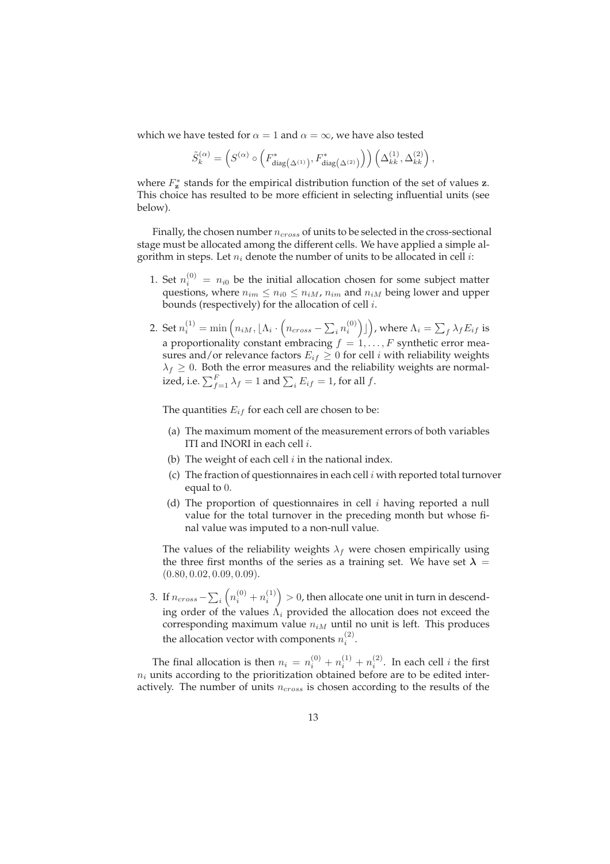which we have tested for  $\alpha = 1$  and  $\alpha = \infty$ , we have also tested

$$
\tilde{S}^{(\alpha)}_k = \left( S^{(\alpha)} \circ \left( F_{\textrm{diag}\left( \Delta^{(1)} \right)}^*, F_{\textrm{diag}\left( \Delta^{(2)} \right)}^* \right) \right) \left( \Delta^{(1)}_{kk}, \Delta^{(2)}_{kk} \right),
$$

where  $F_{\mathbf{z}}^*$  stands for the empirical distribution function of the set of values  $\mathbf{z}$ . This choice has resulted to be more efficient in selecting influential units (see below).

Finally, the chosen number  $n_{cross}$  of units to be selected in the cross-sectional stage must be allocated among the different cells. We have applied a simple algorithm in steps. Let  $n_i$  denote the number of units to be allocated in cell *i*:

- 1. Set  $n_i^{(0)} = n_{i0}$  be the initial allocation chosen for some subject matter questions, where  $n_{im} \leq n_{i0} \leq n_{iM}$ ,  $n_{im}$  and  $n_{iM}$  being lower and upper bounds (respectively) for the allocation of cell i.
- 2. Set  $n_i^{(1)} = \min\left(n_{iM}, \lfloor\Lambda_i\cdot\left(n_{cross}-\sum_i n_i^{(0)}\right)\rfloor\right)$ , where  $\Lambda_i = \sum_f \lambda_f E_{if}$  is a proportionality constant embracing  $f = 1, \ldots, F$  synthetic error measures and/or relevance factors  $E_{if} \geq 0$  for cell *i* with reliability weights  $\lambda_f \geq 0$ . Both the error measures and the reliability weights are normalized, i.e.  $\sum_{f=1}^F \lambda_f = 1$  and  $\sum_i E_{if} = 1$ , for all  $f$ .

The quantities  $E_{if}$  for each cell are chosen to be:

- (a) The maximum moment of the measurement errors of both variables ITI and INORI in each cell i.
- (b) The weight of each cell  $i$  in the national index.
- (c) The fraction of questionnaires in each cell  $i$  with reported total turnover equal to 0.
- (d) The proportion of questionnaires in cell  $i$  having reported a null value for the total turnover in the preceding month but whose final value was imputed to a non-null value.

The values of the reliability weights  $\lambda_f$  were chosen empirically using the three first months of the series as a training set. We have set  $\lambda =$  $(0.80, 0.02, 0.09, 0.09)$ .

3. If  $n_{cross} - \sum_i \left(n_i^{(0)} + n_i^{(1)}\right) > 0$ , then allocate one unit in turn in descending order of the values  $\Lambda_i$  provided the allocation does not exceed the corresponding maximum value  $n_{iM}$  until no unit is left. This produces the allocation vector with components  $n_i^{(2)}$ .

The final allocation is then  $n_i = n_i^{(0)} + n_i^{(1)} + n_i^{(2)}$ . In each cell *i* the first  $n_i$  units according to the prioritization obtained before are to be edited interactively. The number of units  $n_{cross}$  is chosen according to the results of the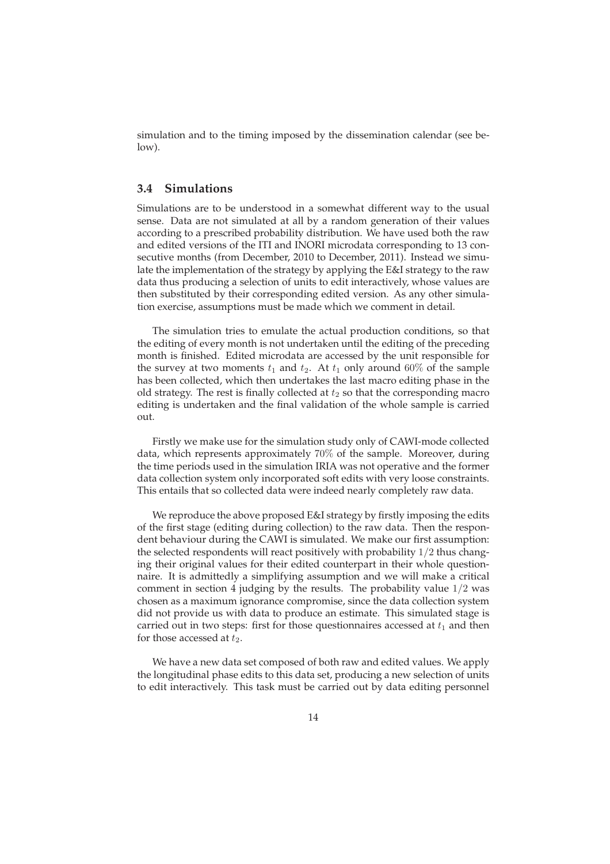simulation and to the timing imposed by the dissemination calendar (see below).

#### **3.4 Simulations**

Simulations are to be understood in a somewhat different way to the usual sense. Data are not simulated at all by a random generation of their values according to a prescribed probability distribution. We have used both the raw and edited versions of the ITI and INORI microdata corresponding to 13 consecutive months (from December, 2010 to December, 2011). Instead we simulate the implementation of the strategy by applying the E&I strategy to the raw data thus producing a selection of units to edit interactively, whose values are then substituted by their corresponding edited version. As any other simulation exercise, assumptions must be made which we comment in detail.

The simulation tries to emulate the actual production conditions, so that the editing of every month is not undertaken until the editing of the preceding month is finished. Edited microdata are accessed by the unit responsible for the survey at two moments  $t_1$  and  $t_2$ . At  $t_1$  only around 60% of the sample has been collected, which then undertakes the last macro editing phase in the old strategy. The rest is finally collected at  $t_2$  so that the corresponding macro editing is undertaken and the final validation of the whole sample is carried out.

Firstly we make use for the simulation study only of CAWI-mode collected data, which represents approximately 70% of the sample. Moreover, during the time periods used in the simulation IRIA was not operative and the former data collection system only incorporated soft edits with very loose constraints. This entails that so collected data were indeed nearly completely raw data.

We reproduce the above proposed E&I strategy by firstly imposing the edits of the first stage (editing during collection) to the raw data. Then the respondent behaviour during the CAWI is simulated. We make our first assumption: the selected respondents will react positively with probability 1/2 thus changing their original values for their edited counterpart in their whole questionnaire. It is admittedly a simplifying assumption and we will make a critical comment in section 4 judging by the results. The probability value 1/2 was chosen as a maximum ignorance compromise, since the data collection system did not provide us with data to produce an estimate. This simulated stage is carried out in two steps: first for those questionnaires accessed at  $t_1$  and then for those accessed at  $t_2$ .

We have a new data set composed of both raw and edited values. We apply the longitudinal phase edits to this data set, producing a new selection of units to edit interactively. This task must be carried out by data editing personnel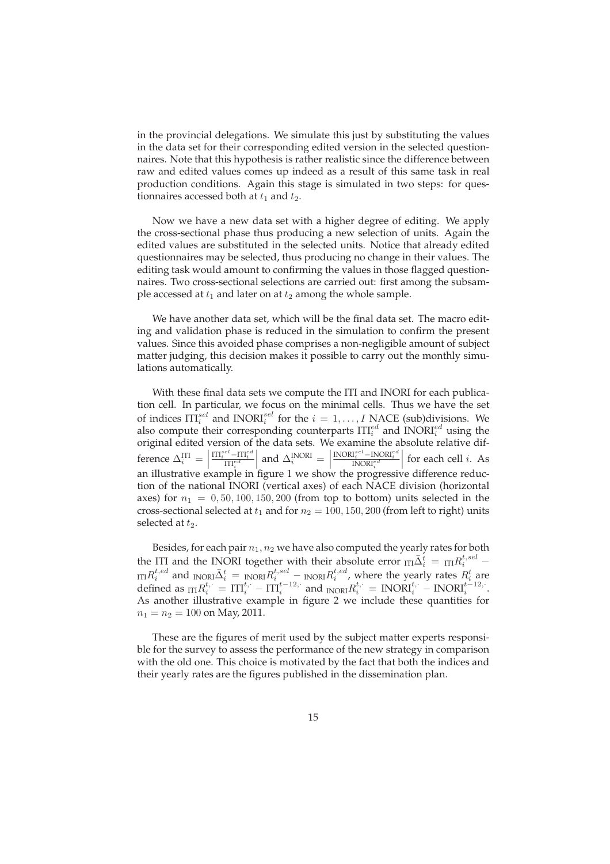in the provincial delegations. We simulate this just by substituting the values in the data set for their corresponding edited version in the selected questionnaires. Note that this hypothesis is rather realistic since the difference between raw and edited values comes up indeed as a result of this same task in real production conditions. Again this stage is simulated in two steps: for questionnaires accessed both at  $t_1$  and  $t_2$ .

Now we have a new data set with a higher degree of editing. We apply the cross-sectional phase thus producing a new selection of units. Again the edited values are substituted in the selected units. Notice that already edited questionnaires may be selected, thus producing no change in their values. The editing task would amount to confirming the values in those flagged questionnaires. Two cross-sectional selections are carried out: first among the subsample accessed at  $t_1$  and later on at  $t_2$  among the whole sample.

We have another data set, which will be the final data set. The macro editing and validation phase is reduced in the simulation to confirm the present values. Since this avoided phase comprises a non-negligible amount of subject matter judging, this decision makes it possible to carry out the monthly simulations automatically.

With these final data sets we compute the ITI and INORI for each publication cell. In particular, we focus on the minimal cells. Thus we have the set of indices  $\Pi_{i}^{sel}$  and INORI $_{i}^{sel}$  for the  $i = 1, ..., I$  NACE (sub)divisions. We also compute their corresponding counterparts  $\text{ITI}^{ed}_i$  and  $\text{INORI}^{ed}_i$  using the original edited version of the data sets. We examine the absolute relative difference  $\Delta_i^{\text{ITI}} =$  $\frac{\text{III}_i^{sel}-\text{III}_i^{ed}}{\text{III}_i^{ed}}$  $\left| \text{ and } \Delta_i^{\text{INORI}} \right| =$  $\frac{\text{INORI}^{sel}_i - \text{INORI}^{ed}_i}{\text{INORI}^{ed}_i}$ for each cell  $i$ . As an illustrative example in figure 1 we show the progressive difference reduction of the national INORI (vertical axes) of each NACE division (horizontal axes) for  $n_1 = 0, 50, 100, 150, 200$  (from top to bottom) units selected in the cross-sectional selected at  $t_1$  and for  $n_2 = 100, 150, 200$  (from left to right) units selected at  $t_2$ .

Besides, for each pair  $n_1$ ,  $n_2$  we have also computed the yearly rates for both the ITI and the INORI together with their absolute error  $_{\text{III}}\bar{\Delta}^{t}_{i}$  =  $_{\text{III}}R^{t,sel}_{i}$  –  $\lim R_i^{t,ed}$  and  $\lim \Omega_i^t = \lim \Omega R_i^{t,sel} - \lim \Omega R_i^{t,ed}$ , where the yearly rates  $R_i^t$  are defined as  $\text{tr} R_i^{t,:} = \text{ITI}_i^{t,:} - \text{ITI}_i^{t-12,:}$  and  $\text{INORI} R_i^{t,:} = \text{INORI}_i^{t,:} - \text{INORI}_i^{t-12,:}$ . As another illustrative example in figure 2 we include these quantities for  $n_1 = n_2 = 100$  on May, 2011.

These are the figures of merit used by the subject matter experts responsible for the survey to assess the performance of the new strategy in comparison with the old one. This choice is motivated by the fact that both the indices and their yearly rates are the figures published in the dissemination plan.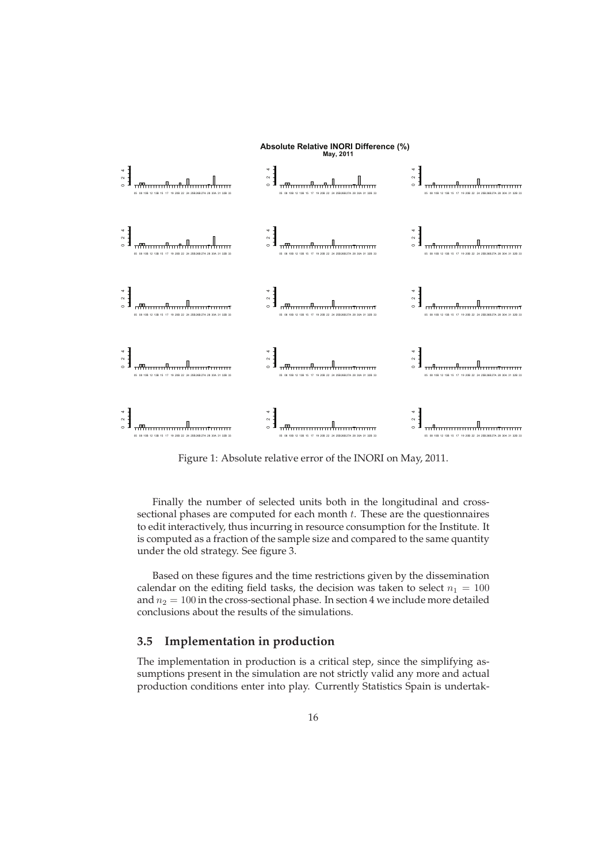

Figure 1: Absolute relative error of the INORI on May, 2011.

Finally the number of selected units both in the longitudinal and crosssectional phases are computed for each month  $t$ . These are the questionnaires to edit interactively, thus incurring in resource consumption for the Institute. It is computed as a fraction of the sample size and compared to the same quantity under the old strategy. See figure 3.

Based on these figures and the time restrictions given by the dissemination calendar on the editing field tasks, the decision was taken to select  $n_1 = 100$ and  $n_2 = 100$  in the cross-sectional phase. In section 4 we include more detailed conclusions about the results of the simulations.

#### **3.5 Implementation in production**

The implementation in production is a critical step, since the simplifying assumptions present in the simulation are not strictly valid any more and actual production conditions enter into play. Currently Statistics Spain is undertak-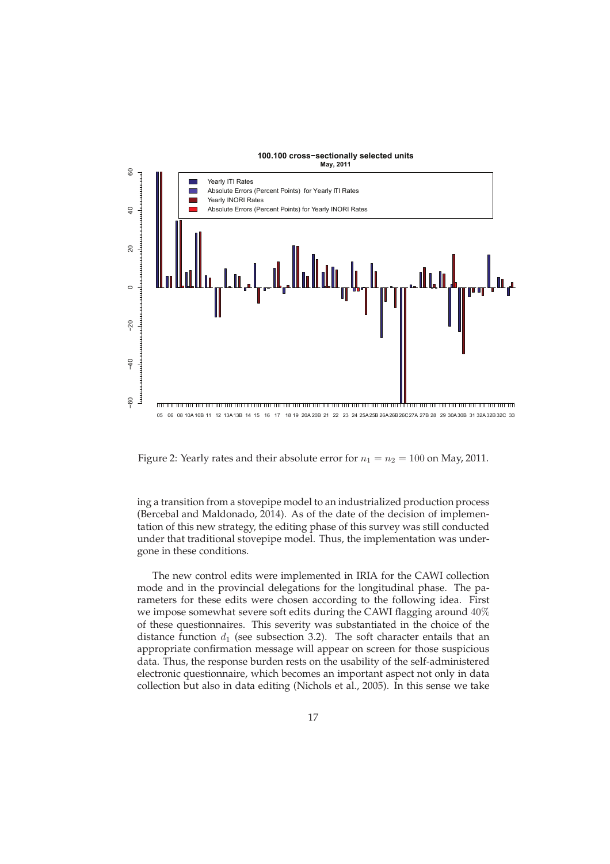

Figure 2: Yearly rates and their absolute error for  $n_1 = n_2 = 100$  on May, 2011.

ing a transition from a stovepipe model to an industrialized production process (Bercebal and Maldonado, 2014). As of the date of the decision of implementation of this new strategy, the editing phase of this survey was still conducted under that traditional stovepipe model. Thus, the implementation was undergone in these conditions.

The new control edits were implemented in IRIA for the CAWI collection mode and in the provincial delegations for the longitudinal phase. The parameters for these edits were chosen according to the following idea. First we impose somewhat severe soft edits during the CAWI flagging around 40% of these questionnaires. This severity was substantiated in the choice of the distance function  $d_1$  (see subsection 3.2). The soft character entails that an appropriate confirmation message will appear on screen for those suspicious data. Thus, the response burden rests on the usability of the self-administered electronic questionnaire, which becomes an important aspect not only in data collection but also in data editing (Nichols et al., 2005). In this sense we take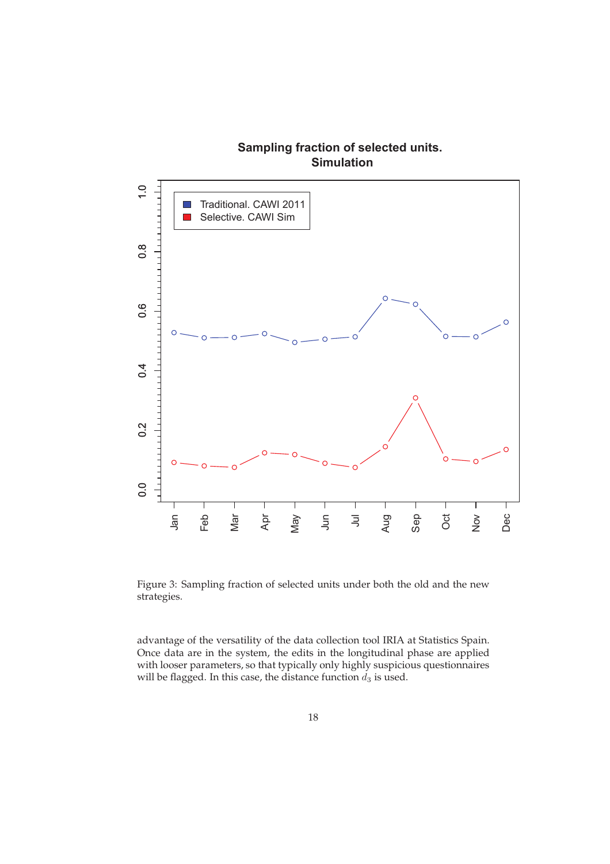

Figure 3: Sampling fraction of selected units under both the old and the new strategies.

advantage of the versatility of the data collection tool IRIA at Statistics Spain. Once data are in the system, the edits in the longitudinal phase are applied with looser parameters, so that typically only highly suspicious questionnaires will be flagged. In this case, the distance function  $d_3$  is used.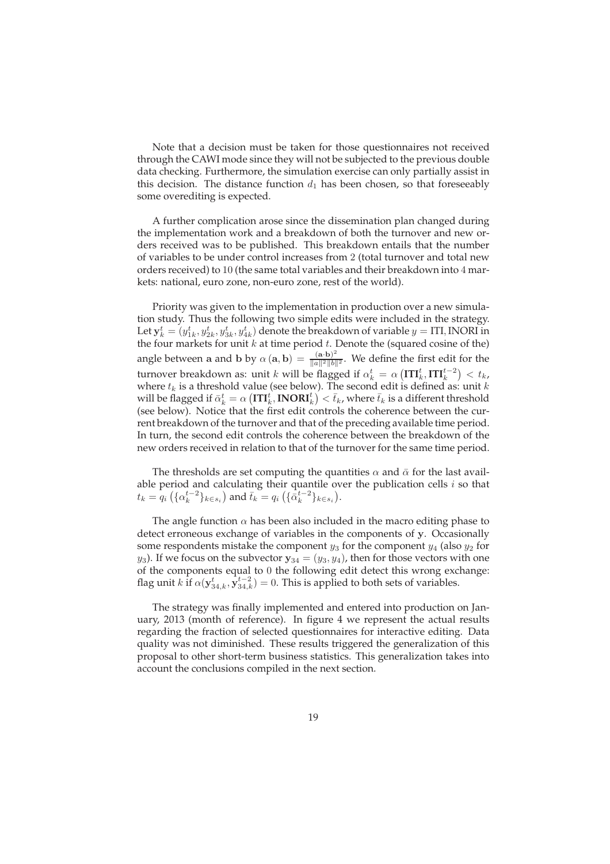Note that a decision must be taken for those questionnaires not received through the CAWI mode since they will not be subjected to the previous double data checking. Furthermore, the simulation exercise can only partially assist in this decision. The distance function  $d_1$  has been chosen, so that foreseeably some overediting is expected.

A further complication arose since the dissemination plan changed during the implementation work and a breakdown of both the turnover and new orders received was to be published. This breakdown entails that the number of variables to be under control increases from 2 (total turnover and total new orders received) to 10 (the same total variables and their breakdown into 4 markets: national, euro zone, non-euro zone, rest of the world).

Priority was given to the implementation in production over a new simulation study. Thus the following two simple edits were included in the strategy. Let  $\mathbf{y}_k^t = (y_{1k}^t, y_{2k}^t, y_{3k}^t, y_{4k}^t)$  denote the breakdown of variable  $y =$  ITI, INORI in the four markets for unit  $k$  at time period  $t$ . Denote the (squared cosine of the) angle between a and b by  $\alpha(\mathbf{a}, \mathbf{b}) = \frac{(\mathbf{a} \cdot \mathbf{b})^2}{\|\mathbf{a}\|^2 \|\mathbf{b}\|}$  $\frac{(\mathbf{a} \cdot \mathbf{b})}{\|\mathbf{a}\|^2 \|\mathbf{b}\|^2}$ . We define the first edit for the turnover breakdown as: unit  $k$  will be flagged if  $\alpha_k^t = \alpha\left(\mathbf{I}\mathbf{T}\mathbf{I}_k^t,\mathbf{I}\mathbf{T}\mathbf{I}_k^{t-2}\right) < t_k$ , where  $t_k$  is a threshold value (see below). The second edit is defined as: unit k will be flagged if  $\bar{\alpha}_k^t = \alpha\left(\mathbf{ITI}_k^t,\mathbf{INORI}_k^t\right)^{'} < \bar{t}_k$ , where  $\bar{t}_k$  is a different threshold (see below). Notice that the first edit controls the coherence between the current breakdown of the turnover and that of the preceding available time period. In turn, the second edit controls the coherence between the breakdown of the new orders received in relation to that of the turnover for the same time period.

The thresholds are set computing the quantities  $\alpha$  and  $\bar{\alpha}$  for the last available period and calculating their quantile over the publication cells  $i$  so that  $t_k = q_i \left( {\{\alpha_k^{t-2}\}_{k \in s_i}} \right)$  and  $\bar{t}_k = q_i \left( {\{\bar{\alpha}_k^{t-2}\}_{k \in s_i}} \right)$ .

The angle function  $\alpha$  has been also included in the macro editing phase to detect erroneous exchange of variables in the components of y. Occasionally some respondents mistake the component  $y_3$  for the component  $y_4$  (also  $y_2$  for  $y_3$ ). If we focus on the subvector  $y_{34} = (y_3, y_4)$ , then for those vectors with one of the components equal to 0 the following edit detect this wrong exchange: flag unit  $k$  if  $\alpha(\mathbf{y}_{34,k}^t, \mathbf{y}_{34,k}^{t-2}) = 0$ . This is applied to both sets of variables.

The strategy was finally implemented and entered into production on January, 2013 (month of reference). In figure 4 we represent the actual results regarding the fraction of selected questionnaires for interactive editing. Data quality was not diminished. These results triggered the generalization of this proposal to other short-term business statistics. This generalization takes into account the conclusions compiled in the next section.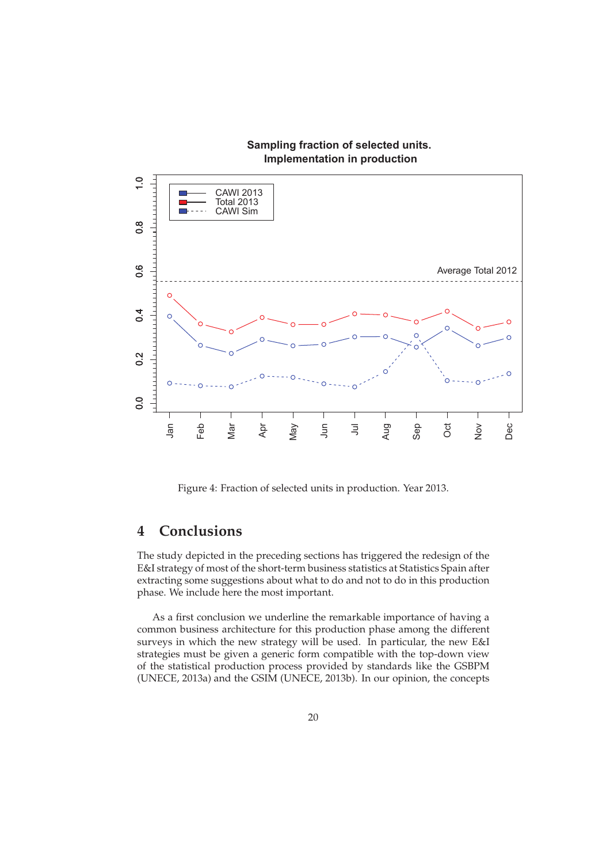

**Sampling fraction of selected units.**

Figure 4: Fraction of selected units in production. Year 2013.

# **4 Conclusions**

The study depicted in the preceding sections has triggered the redesign of the E&I strategy of most of the short-term business statistics at Statistics Spain after extracting some suggestions about what to do and not to do in this production phase. We include here the most important.

As a first conclusion we underline the remarkable importance of having a common business architecture for this production phase among the different surveys in which the new strategy will be used. In particular, the new E&I strategies must be given a generic form compatible with the top-down view of the statistical production process provided by standards like the GSBPM (UNECE, 2013a) and the GSIM (UNECE, 2013b). In our opinion, the concepts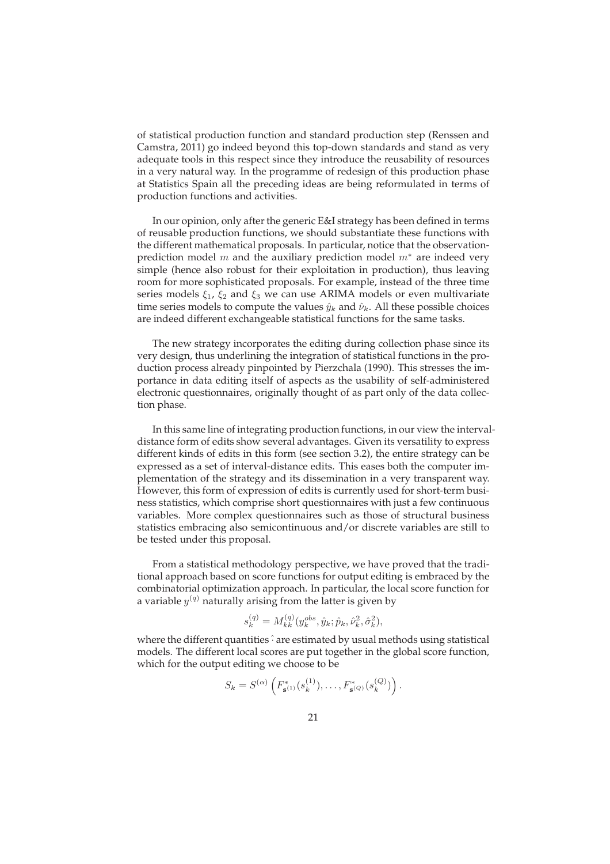of statistical production function and standard production step (Renssen and Camstra, 2011) go indeed beyond this top-down standards and stand as very adequate tools in this respect since they introduce the reusability of resources in a very natural way. In the programme of redesign of this production phase at Statistics Spain all the preceding ideas are being reformulated in terms of production functions and activities.

In our opinion, only after the generic E&I strategy has been defined in terms of reusable production functions, we should substantiate these functions with the different mathematical proposals. In particular, notice that the observationprediction model  $m$  and the auxiliary prediction model  $m^*$  are indeed very simple (hence also robust for their exploitation in production), thus leaving room for more sophisticated proposals. For example, instead of the three time series models  $\xi_1$ ,  $\xi_2$  and  $\xi_3$  we can use ARIMA models or even multivariate time series models to compute the values  $\hat{y}_k$  and  $\hat{\nu}_k$ . All these possible choices are indeed different exchangeable statistical functions for the same tasks.

The new strategy incorporates the editing during collection phase since its very design, thus underlining the integration of statistical functions in the production process already pinpointed by Pierzchala (1990). This stresses the importance in data editing itself of aspects as the usability of self-administered electronic questionnaires, originally thought of as part only of the data collection phase.

In this same line of integrating production functions, in our view the intervaldistance form of edits show several advantages. Given its versatility to express different kinds of edits in this form (see section 3.2), the entire strategy can be expressed as a set of interval-distance edits. This eases both the computer implementation of the strategy and its dissemination in a very transparent way. However, this form of expression of edits is currently used for short-term business statistics, which comprise short questionnaires with just a few continuous variables. More complex questionnaires such as those of structural business statistics embracing also semicontinuous and/or discrete variables are still to be tested under this proposal.

From a statistical methodology perspective, we have proved that the traditional approach based on score functions for output editing is embraced by the combinatorial optimization approach. In particular, the local score function for a variable  $y^{(q)}$  naturally arising from the latter is given by

$$
s_k^{(q)} = M_{kk}^{(q)}(y_k^{obs}, \hat{y}_k; \hat{p}_k, \hat{\nu}_k^2, \hat{\sigma}_k^2),
$$

where the different quantities  $\hat{\cdot}$  are estimated by usual methods using statistical models. The different local scores are put together in the global score function, which for the output editing we choose to be

$$
S_k = S^{(\alpha)}\left(F^*_{\mathbf{s}^{(1)}}(s_k^{(1)}), \ldots, F^*_{\mathbf{s}^{(Q)}}(s_k^{(Q)})\right).
$$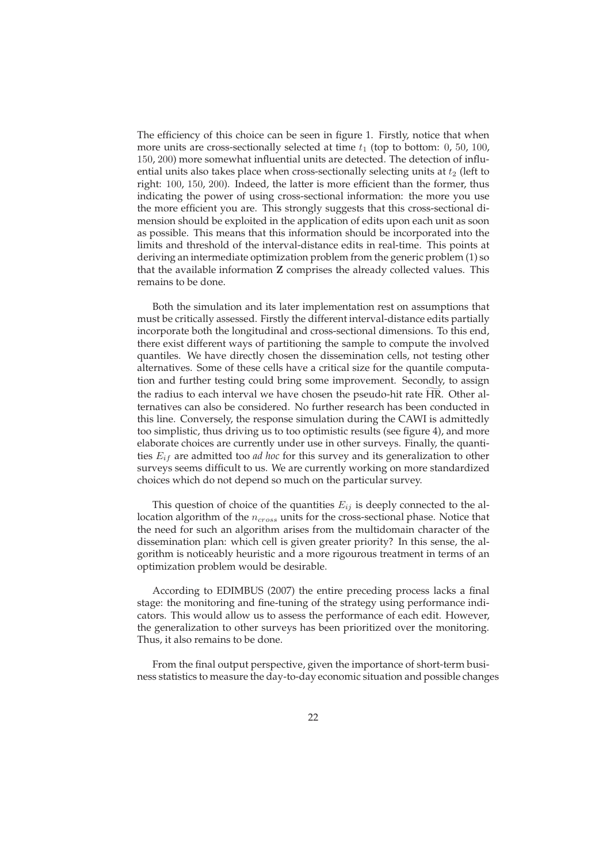The efficiency of this choice can be seen in figure 1. Firstly, notice that when more units are cross-sectionally selected at time  $t_1$  (top to bottom: 0, 50, 100, 150, 200) more somewhat influential units are detected. The detection of influential units also takes place when cross-sectionally selecting units at  $t_2$  (left to right: 100, 150, 200). Indeed, the latter is more efficient than the former, thus indicating the power of using cross-sectional information: the more you use the more efficient you are. This strongly suggests that this cross-sectional dimension should be exploited in the application of edits upon each unit as soon as possible. This means that this information should be incorporated into the limits and threshold of the interval-distance edits in real-time. This points at deriving an intermediate optimization problem from the generic problem (1) so that the available information Z comprises the already collected values. This remains to be done.

Both the simulation and its later implementation rest on assumptions that must be critically assessed. Firstly the different interval-distance edits partially incorporate both the longitudinal and cross-sectional dimensions. To this end, there exist different ways of partitioning the sample to compute the involved quantiles. We have directly chosen the dissemination cells, not testing other alternatives. Some of these cells have a critical size for the quantile computation and further testing could bring some improvement. Secondly, to assign the radius to each interval we have chosen the pseudo-hit rate HR. Other alternatives can also be considered. No further research has been conducted in this line. Conversely, the response simulation during the CAWI is admittedly too simplistic, thus driving us to too optimistic results (see figure 4), and more elaborate choices are currently under use in other surveys. Finally, the quantities  $E_{if}$  are admitted too *ad hoc* for this survey and its generalization to other surveys seems difficult to us. We are currently working on more standardized choices which do not depend so much on the particular survey.

This question of choice of the quantities  $E_{ij}$  is deeply connected to the allocation algorithm of the  $n_{cross}$  units for the cross-sectional phase. Notice that the need for such an algorithm arises from the multidomain character of the dissemination plan: which cell is given greater priority? In this sense, the algorithm is noticeably heuristic and a more rigourous treatment in terms of an optimization problem would be desirable.

According to EDIMBUS (2007) the entire preceding process lacks a final stage: the monitoring and fine-tuning of the strategy using performance indicators. This would allow us to assess the performance of each edit. However, the generalization to other surveys has been prioritized over the monitoring. Thus, it also remains to be done.

From the final output perspective, given the importance of short-term business statistics to measure the day-to-day economic situation and possible changes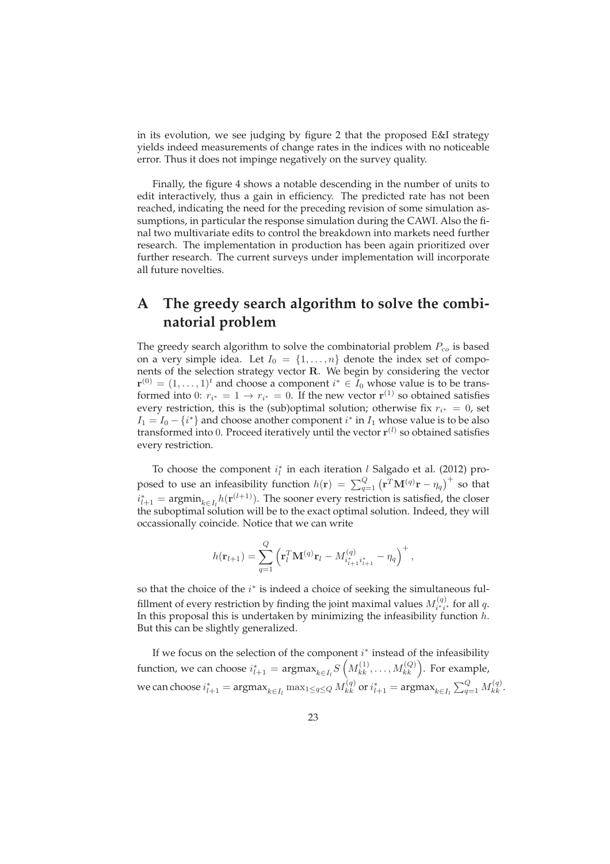in its evolution, we see judging by figure 2 that the proposed E&I strategy yields indeed measurements of change rates in the indices with no noticeable error. Thus it does not impinge negatively on the survey quality.

Finally, the figure 4 shows a notable descending in the number of units to edit interactively, thus a gain in efficiency. The predicted rate has not been reached, indicating the need for the preceding revision of some simulation assumptions, in particular the response simulation during the CAWI. Also the final two multivariate edits to control the breakdown into markets need further research. The implementation in production has been again prioritized over further research. The current surveys under implementation will incorporate all future novelties.

# **A The greedy search algorithm to solve the combinatorial problem**

The greedy search algorithm to solve the combinatorial problem  $P_{co}$  is based on a very simple idea. Let  $I_0 = \{1, ..., n\}$  denote the index set of components of the selection strategy vector R. We begin by considering the vector  ${\bf r}^{(0)} = (1,\ldots,1)^t$  and choose a component  $i^* \in I_0$  whose value is to be transformed into 0:  $r_{i^*} = 1 \rightarrow r_{i^*} = 0$ . If the new vector  $\mathbf{r}^{(1)}$  so obtained satisfies every restriction, this is the (sub)optimal solution; otherwise fix  $r_{i^*} = 0$ , set  $I_1 = I_0 - \{i^*\}$  and choose another component  $i^*$  in  $I_1$  whose value is to be also transformed into 0. Proceed iteratively until the vector  $\mathbf{r}^{(l)}$  so obtained satisfies every restriction.

To choose the component  $i_l^*$  in each iteration  $l$  Salgado et al. (2012) proposed to use an infeasibility function  $h(\mathbf{r}) = \sum_{q=1}^{Q} (\mathbf{r}^T \mathbf{M}^{(q)} \mathbf{r} - \eta_q)^+$  so that  $i_{l+1}^* = \text{argmin}_{k \in I_l} h(\mathbf{r}^{(l+1)})$ . The sooner every restriction is satisfied, the closer the suboptimal solution will be to the exact optimal solution. Indeed, they will occassionally coincide. Notice that we can write

$$
h(\mathbf{r}_{l+1}) = \sum_{q=1}^{Q} \left( \mathbf{r}_{l}^{T} \mathbf{M}^{(q)} \mathbf{r}_{l} - M_{i_{l+1}^{*} i_{l+1}^{*}}^{(q)} - \eta_{q} \right)^{+},
$$

so that the choice of the  $i^*$  is indeed a choice of seeking the simultaneous fulfillment of every restriction by finding the joint maximal values  $M_{i^*i^*}^{(q)}$  for all  $q$ . In this proposal this is undertaken by minimizing the infeasibility function  $h$ . But this can be slightly generalized.

If we focus on the selection of the component  $i^*$  instead of the infeasibility function, we can choose  $i_{l+1}^* = \text{argmax}_{k \in I_l} S\left(M_{kk}^{(1)}, \ldots, M_{kk}^{(Q)}\right)$ . For example, we can choose  $i^*_{l+1} = \text{argmax}_{k \in I_l} \max_{1 \le q \le Q} M^{(q)}_{kk}$  or  $i^*_{l+1} = \text{argmax}_{k \in I_l} \sum_{q=1}^Q M^{(q)}_{kk}.$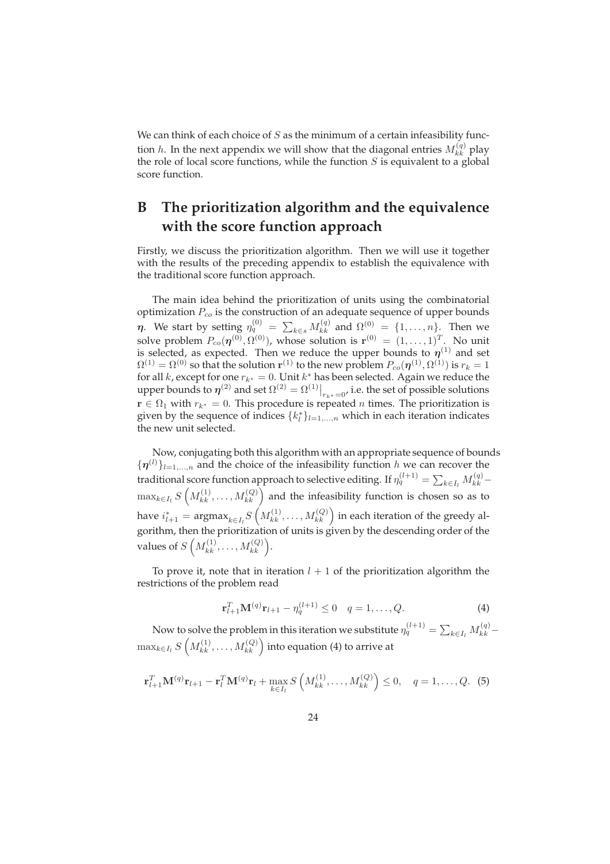We can think of each choice of  $S$  as the minimum of a certain infeasibility function *h*. In the next appendix we will show that the diagonal entries  $M_{kk}^{(q)}$  play the role of local score functions, while the function  $S$  is equivalent to a global score function.

# **B The prioritization algorithm and the equivalence with the score function approach**

Firstly, we discuss the prioritization algorithm. Then we will use it together with the results of the preceding appendix to establish the equivalence with the traditional score function approach.

The main idea behind the prioritization of units using the combinatorial optimization  $P_{co}$  is the construction of an adequate sequence of upper bounds η. We start by setting  $η_q^{(0)} = \sum_{k \in s} M_{kk}^{(q)}$  and  $Ω^{(0)} = \{1, ..., n\}$ . Then we solve problem  $P_{co}(\boldsymbol{\eta}^{(0)},\Omega^{(0)})$ , whose solution is  $\mathbf{r}^{(0)}\,=\,(1,\ldots,1)^T.$  No unit is selected, as expected. Then we reduce the upper bounds to  $\eta^{(1)}$  and set  $\Omega^{(1)}=\Omega^{(0)}$  so that the solution  ${\bf r}^{(1)}$  to the new problem  $P_{co}(\boldsymbol\eta^{(1)},\Omega^{(1)})$  is  $r_k=1$ for all  $k$ , except for one  $r_{k^*} = 0$ . Unit  $k^*$  has been selected. Again we reduce the upper bounds to  $\eta^{(2)}$  and set  $\Omega^{(2)} = \Omega^{(1)}|_{r_{k^*}=0}$ , i.e. the set of possible solutions  $\mathbf{r} \in \Omega_1$  with  $r_{k^*} = 0$ . This procedure is repeated *n* times. The prioritization is given by the sequence of indices  ${k_l^*}_{l=1,\dots,n}$  which in each iteration indicates the new unit selected.

Now, conjugating both this algorithm with an appropriate sequence of bounds  $\{\boldsymbol{\eta}^{(l)}\}_{l=1,\dots,n}$  and the choice of the infeasibility function h we can recover the traditional score function approach to selective editing. If  $\eta_q^{(l+1)} = \sum_{k \in I_l} M_{kk}^{(q)} \max_{k \in I_l} S\left(M_{kk}^{(1)}, \ldots, M_{kk}^{(Q)}\right)$  and the infeasibility function is chosen so as to have  $i_{l+1}^* = \mathrm{argmax}_{k \in I_l} S\left(M^{(1)}_{kk}, \ldots, M^{(Q)}_{kk}\right)$  in each iteration of the greedy algorithm, then the prioritization of units is given by the descending order of the values of  $S\left(M_{kk}^{(1)},\ldots,M_{kk}^{(Q)}\right)$ .

To prove it, note that in iteration  $l + 1$  of the prioritization algorithm the restrictions of the problem read

$$
\mathbf{r}_{l+1}^T \mathbf{M}^{(q)} \mathbf{r}_{l+1} - \eta_q^{(l+1)} \le 0 \quad q = 1, \dots, Q. \tag{4}
$$

Now to solve the problem in this iteration we substitute  $\eta_q^{(l+1)} = \sum_{k \in I_l} M_{kk}^{(q)} \max_{k \in I_l} S\left(M^{(1)}_{kk}, \ldots, M^{(Q)}_{kk}\right)$  into equation (4) to arrive at

$$
\mathbf{r}_{l+1}^T \mathbf{M}^{(q)} \mathbf{r}_{l+1} - \mathbf{r}_l^T \mathbf{M}^{(q)} \mathbf{r}_l + \max_{k \in I_l} S\left(M_{kk}^{(1)}, \ldots, M_{kk}^{(Q)}\right) \le 0, \quad q = 1, \ldots, Q. \tag{5}
$$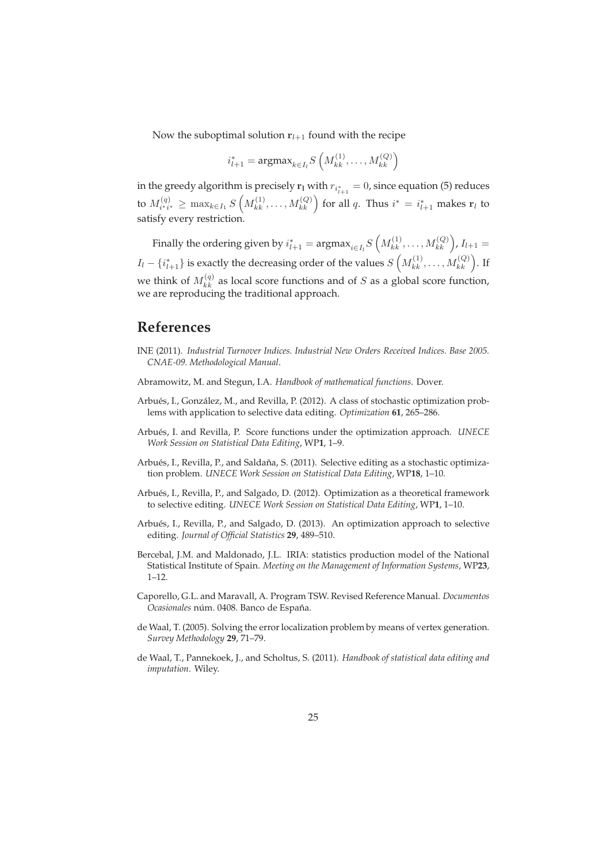Now the suboptimal solution  $r_{l+1}$  found with the recipe

$$
i_{l+1}^* = \text{argmax}_{k \in I_l} S\left(M_{kk}^{(1)}, \ldots, M_{kk}^{(Q)}\right)
$$

in the greedy algorithm is precisely  ${\bf r_l}$  with  $r_{i_{l+1}^*}=0$ , since equation (5) reduces to  $M_{i'i'}^{(q)} \ge \max_{k \in I_1} S\left(M_{kk}^{(1)}, \ldots, M_{kk}^{(Q)}\right)$  for all q. Thus  $i^* = i_{l+1}^*$  makes  $r_l$  to satisfy every restriction.

Finally the ordering given by  $i^*_{l+1} = \text{argmax}_{i \in I_l} S\left(M^{(1)}_{kk}, \dots, M^{(Q)}_{kk}\right)$ ,  $I_{l+1} =$  $I_l - \{i_{l+1}^*\}$  is exactly the decreasing order of the values  $S\left(M_{kk}^{(1)}, \ldots, M_{kk}^{(Q)}\right)$ . If we think of  $M_{kk}^{(q)}$  as local score functions and of S as a global score function, we are reproducing the traditional approach.

## **References**

- INE (2011). *Industrial Turnover Indices. Industrial New Orders Received Indices. Base 2005. CNAE-09. Methodological Manual*.
- Abramowitz, M. and Stegun, I.A. *Handbook of mathematical functions*. Dover.
- Arbués, I., González, M., and Revilla, P. (2012). A class of stochastic optimization problems with application to selective data editing. *Optimization* **61**, 265–286.
- Arbu´es, I. and Revilla, P. Score functions under the optimization approach. *UNECE Work Session on Statistical Data Editing*, WP**1**, 1–9.
- Arbués, I., Revilla, P., and Saldaña, S. (2011). Selective editing as a stochastic optimization problem. *UNECE Work Session on Statistical Data Editing*, WP**18**, 1–10.
- Arbués, I., Revilla, P., and Salgado, D. (2012). Optimization as a theoretical framework to selective editing. *UNECE Work Session on Statistical Data Editing*, WP**1**, 1–10.
- Arbués, I., Revilla, P., and Salgado, D. (2013). An optimization approach to selective editing. *Journal of Official Statistics* **29**, 489–510.
- Bercebal, J.M. and Maldonado, J.L. IRIA: statistics production model of the National Statistical Institute of Spain. *Meeting on the Management of Information Systems*, WP**23**, 1–12.
- Caporello, G.L. and Maravall, A. Program TSW. Revised Reference Manual. *Documentos Ocasionales* núm. 0408. Banco de España.
- de Waal, T. (2005). Solving the error localization problem by means of vertex generation. *Survey Methodology* **29**, 71–79.
- de Waal, T., Pannekoek, J., and Scholtus, S. (2011). *Handbook of statistical data editing and imputation*. Wiley.